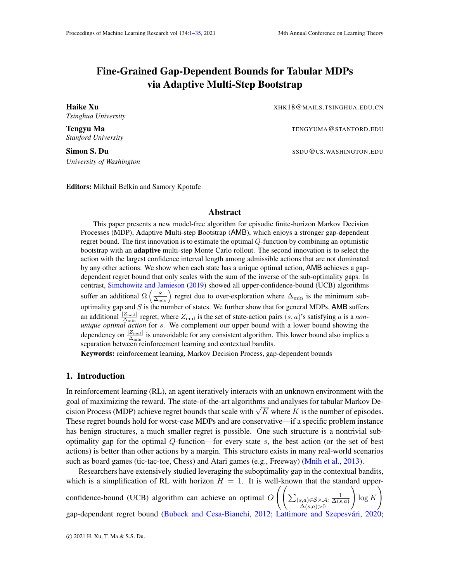# <span id="page-0-1"></span><span id="page-0-0"></span>Fine-Grained Gap-Dependent Bounds for Tabular MDPs via Adaptive Multi-Step Bootstrap

*Tsinghua University*

*Stanford University*

*University of Washington*

**Haike Xu** XHK18@MAILS.TSINGHUA.EDU.CN

**Tengyu Ma** TENGYUMA @ STANFORD.EDU

Simon S. Du SSDU@CS.WASHINGTON.EDU

Editors: Mikhail Belkin and Samory Kpotufe

# Abstract

This paper presents a new model-free algorithm for episodic finite-horizon Markov Decision Processes (MDP), Adaptive Multi-step Bootstrap (AMB), which enjoys a stronger gap-dependent regret bound. The first innovation is to estimate the optimal Q-function by combining an optimistic bootstrap with an adaptive multi-step Monte Carlo rollout. The second innovation is to select the action with the largest confidence interval length among admissible actions that are not dominated by any other actions. We show when each state has a unique optimal action, AMB achieves a gapdependent regret bound that only scales with the sum of the inverse of the sub-optimality gaps. In contrast, [Simchowitz and Jamieson](#page-14-0) [\(2019\)](#page-14-0) showed all upper-confidence-bound (UCB) algorithms suffer an additional  $\Omega\left(\frac{S}{\Delta_{\min}}\right)$  regret due to over-exploration where  $\Delta_{\min}$  is the minimum suboptimality gap and  $S$  is the number of states. We further show that for general MDPs, AMB suffers an additional  $\frac{|Z_{\text{mul}}|}{\Delta_{\text{min}}}$  regret, where  $Z_{\text{mul}}$  is the set of state-action pairs  $(s, a)$ 's satisfying a is a *nonunique optimal action* for s. We complement our upper bound with a lower bound showing the dependency on  $\frac{|Z_{\text{mul}}|}{\Delta_{\text{min}}}$  is unavoidable for any consistent algorithm. This lower bound also implies a separation between reinforcement learning and contextual bandits.

Keywords: reinforcement learning, Markov Decision Process, gap-dependent bounds

# <span id="page-0-2"></span>1. Introduction

In reinforcement learning (RL), an agent iteratively interacts with an unknown environment with the goal of maximizing the reward. The state-of-the-art algorithms and analyses for tabular Markov Degoal of maximizing the reward. The state-of-the-art algorithms and analyses for tabular Markov De-<br>cision Process (MDP) achieve regret bounds that scale with  $\sqrt{K}$  where K is the number of episodes. These regret bounds hold for worst-case MDPs and are conservative—if a specific problem instance has benign structures, a much smaller regret is possible. One such structure is a nontrivial suboptimality gap for the optimal  $Q$ -function—for every state  $s$ , the best action (or the set of best actions) is better than other actions by a margin. This structure exists in many real-world scenarios such as board games (tic-tac-toe, Chess) and Atari games (e.g., Freeway) [\(Mnih et al.,](#page-14-1) [2013\)](#page-14-1).

Researchers have extensively studied leveraging the suboptimality gap in the contextual bandits, which is a simplification of RL with horizon  $H = 1$ . It is well-known that the standard upperconfidence-bound (UCB) algorithm can achieve an optimal  $O\left(\left(\sum_{(s,a)\in\mathcal{S}\times\mathcal{A}}\right)\right)$  $\Delta(s,a)$ >0 1  $\Delta(s,a)$  $\setminus$  $\log K$  $\setminus$ gap-dependent regret bound [\(Bubeck and Cesa-Bianchi,](#page-13-0) [2012;](#page-13-0) Lattimore and Szepesvári, [2020;](#page-14-2)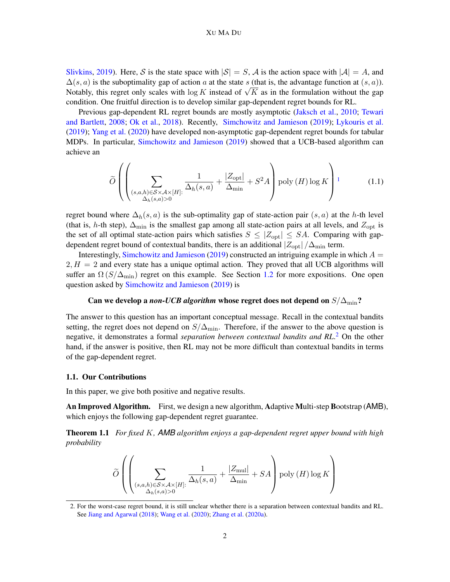#### <span id="page-1-0"></span>XU MA DU

[Slivkins,](#page-14-3) [2019\)](#page-14-3). Here, S is the state space with  $|S| = S$ , A is the action space with  $|A| = A$ , and  $\Delta(s, a)$  is the suboptimality gap of action a at the state s (that is, the advantage function at  $(s, a)$ ).  $\Delta(s, a)$  is the suboptimality gap of action a at the state s (that is, the advantage function at  $(s, a)$ ).<br>Notably, this regret only scales with log K instead of  $\sqrt{K}$  as in the formulation without the gap condition. One fruitful direction is to develop similar gap-dependent regret bounds for RL.

Previous gap-dependent RL regret bounds are mostly asymptotic [\(Jaksch et al.,](#page-14-4) [2010;](#page-14-4) [Tewari](#page-14-5) [and Bartlett,](#page-14-5) [2008;](#page-14-5) [Ok et al.,](#page-14-6) [2018\)](#page-14-6). Recently, [Simchowitz and Jamieson](#page-14-0) [\(2019\)](#page-14-0); [Lykouris et al.](#page-14-7) [\(2019\)](#page-14-7); [Yang et al.](#page-14-8) [\(2020\)](#page-14-8) have developed non-asymptotic gap-dependent regret bounds for tabular MDPs. In particular, [Simchowitz and Jamieson](#page-14-0) [\(2019\)](#page-14-0) showed that a UCB-based algorithm can achieve an

$$
\widetilde{O}\left(\left(\sum_{\substack{(s,a,h)\in\mathcal{S}\times\mathcal{A}\times[H]\\ \Delta_h(s,a)>0}}\frac{1}{\Delta_h(s,a)}+\frac{|Z_{\text{opt}}|}{\Delta_{\min}}+S^2A\right)\text{poly}(H)\log K\right)^1\tag{1.1}
$$

regret bound where  $\Delta_h(s, a)$  is the sub-optimality gap of state-action pair  $(s, a)$  at the h-th level (that is, h-th step),  $\Delta_{\text{min}}$  is the smallest gap among all state-action pairs at all levels, and  $Z_{\text{opt}}$  is the set of all optimal state-action pairs which satisfies  $S \leq |Z_{opt}| \leq SA$ . Comparing with gapdependent regret bound of contextual bandits, there is an additional  $|Z_{opt}|/\Delta_{min}$  term.

Interestingly, [Simchowitz and Jamieson](#page-14-0) [\(2019\)](#page-14-0) constructed an intriguing example in which  $A =$  $2, H = 2$  and every state has a unique optimal action. They proved that all UCB algorithms will suffer an  $\Omega(S/\Delta_{\text{min}})$  regret on this example. See Section [1.2](#page-3-0) for more expositions. One open question asked by [Simchowitz and Jamieson](#page-14-0) [\(2019\)](#page-14-0) is

# Can we develop a *non-UCB algorithm* whose regret does not depend on  $S/\Delta_{\text{min}}$ ?

The answer to this question has an important conceptual message. Recall in the contextual bandits setting, the regret does not depend on  $S/\Delta_{\text{min}}$ . Therefore, if the answer to the above question is negative, it demonstrates a formal *separation between contextual bandits and RL*. [2](#page-0-1) On the other hand, if the answer is positive, then RL may not be more difficult than contextual bandits in terms of the gap-dependent regret.

## 1.1. Our Contributions

In this paper, we give both positive and negative results.

An Improved Algorithm. First, we design a new algorithm, Adaptive Multi-step Bootstrap (AMB), which enjoys the following gap-dependent regret guarantee.

Theorem 1.1 *For fixed* K*, AMB algorithm enjoys a gap-dependent regret upper bound with high probability*

<span id="page-1-1"></span>
$$
\widetilde{O}\left(\left(\sum_{\substack{(s,a,h)\in\mathcal{S}\times\mathcal{A}\times[H]:\\ \Delta_h(s,a)>0}}\frac{1}{\Delta_h(s,a)}+\frac{|Z_{\text{mul}}|}{\Delta_{\text{min}}}+SA\right)\text{poly}\left(H\right)\log K\right)
$$

<sup>2.</sup> For the worst-case regret bound, it is still unclear whether there is a separation between contextual bandits and RL. See [Jiang and Agarwal](#page-14-9) [\(2018\)](#page-14-9); [Wang et al.](#page-14-10) [\(2020\)](#page-14-10); [Zhang et al.](#page-15-0) [\(2020a\)](#page-15-0).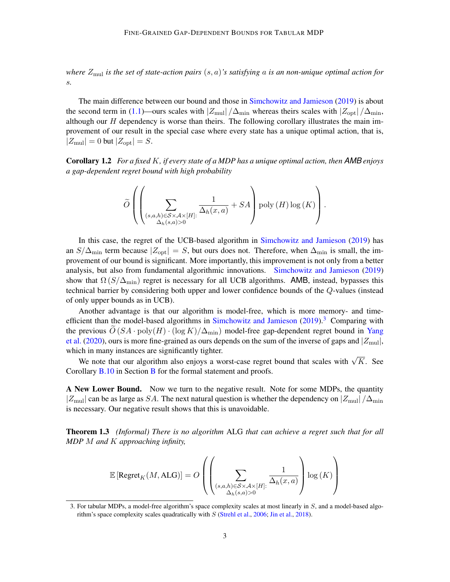*where* Zmul *is the set of state-action pairs* (s, a)*'s satisfying* a *is an non-unique optimal action for* s*.*

The main difference between our bound and those in [Simchowitz and Jamieson](#page-14-0) [\(2019\)](#page-14-0) is about the second term in [\(1.1\)](#page-1-0)—ours scales with  $|Z_{\text{mul}}|/\Delta_{\text{min}}$  whereas theirs scales with  $|Z_{\text{opt}}|/\Delta_{\text{min}}$ , although our  $H$  dependency is worse than theirs. The following corollary illustrates the main improvement of our result in the special case where every state has a unique optimal action, that is,  $|Z_{\text{mul}}| = 0$  but  $|Z_{\text{opt}}| = S$ .

Corollary 1.2 *For a fixed* K*, if every state of a MDP has a unique optimal action, then AMB enjoys a gap-dependent regret bound with high probability*

<span id="page-2-0"></span>
$$
\widetilde{O}\left(\left(\sum_{\substack{(s,a,h)\in \mathcal{S}\times\mathcal{A}\times [H]:\\ \Delta_h(s,a)>0}}\frac{1}{\Delta_h(x,a)}+SA\right)\text{poly}\left(H\right)\log\left(K\right)\right).
$$

In this case, the regret of the UCB-based algorithm in [Simchowitz and Jamieson](#page-14-0) [\(2019\)](#page-14-0) has an  $S/\Delta_{\text{min}}$  term because  $|Z_{\text{opt}}| = S$ , but ours does not. Therefore, when  $\Delta_{\text{min}}$  is small, the improvement of our bound is significant. More importantly, this improvement is not only from a better analysis, but also from fundamental algorithmic innovations. [Simchowitz and Jamieson](#page-14-0) [\(2019\)](#page-14-0) show that  $\Omega(S/\Delta_{\text{min}})$  regret is necessary for all UCB algorithms. AMB, instead, bypasses this technical barrier by considering both upper and lower confidence bounds of the Q-values (instead of only upper bounds as in UCB).

Another advantage is that our algorithm is model-free, which is more memory- and time-efficient than the model-based algorithms in [Simchowitz and Jamieson](#page-14-0)  $(2019)$ .<sup>[3](#page-0-1)</sup> Comparing with the previous  $\tilde{O}(SA \cdot \text{poly}(H) \cdot (\log K)/\Delta_{\text{min}})$  model-free gap-dependent regret bound in [Yang](#page-14-8) [et al.](#page-14-8) [\(2020\)](#page-14-8), ours is more fine-grained as ours depends on the sum of the inverse of gaps and  $|Z_{\text{mul}}|$ , which in many instances are significantly tighter.

Un in many instances are significantly tighter.<br>We note that our algorithm also enjoys a worst-case regret bound that scales with  $\sqrt{K}$ . See Corollary [B.10](#page-30-0) in Section [B](#page-25-0) for the formal statement and proofs.

A New Lower Bound. Now we turn to the negative result. Note for some MDPs, the quantity  $|Z_{\text{mul}}|$  can be as large as SA. The next natural question is whether the dependency on  $|Z_{\text{mul}}|/\Delta_{\text{min}}$ is necessary. Our negative result shows that this is unavoidable.

Theorem 1.3 *(Informal) There is no algorithm* ALG *that can achieve a regret such that for all MDP* M *and* K *approaching infinity,*

$$
\mathbb{E}\left[\text{Regret}_K(M,\text{ALG})\right]=O\left(\left(\sum_{\substack{(s,a,h)\in\mathcal{S}\times\mathcal{A}\times[H]:\\ \Delta_h(s,a)>0}}\frac{1}{\Delta_h(x,a)}\right)\log{(K)}\right)
$$

<sup>3.</sup> For tabular MDPs, a model-free algorithm's space complexity scales at most linearly in S, and a model-based algorithm's space complexity scales quadratically with  $S$  [\(Strehl et al.,](#page-14-11) [2006;](#page-14-11) [Jin et al.,](#page-14-12) [2018\)](#page-14-12).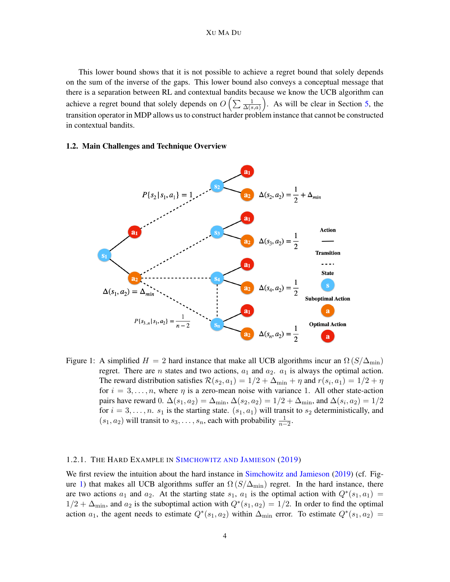This lower bound shows that it is not possible to achieve a regret bound that solely depends on the sum of the inverse of the gaps. This lower bound also conveys a conceptual message that there is a separation between RL and contextual bandits because we know the UCB algorithm can achieve a regret bound that solely depends on  $O\left(\sum \frac{1}{\Delta(s,a)}\right)$ . As will be clear in Section [5,](#page-11-0) the transition operator in MDP allows us to construct harder problem instance that cannot be constructed in contextual bandits.

# <span id="page-3-0"></span>1.2. Main Challenges and Technique Overview



<span id="page-3-1"></span>Figure 1: A simplified  $H = 2$  hard instance that make all UCB algorithms incur an  $\Omega(S/\Delta_{\min})$ regret. There are *n* states and two actions,  $a_1$  and  $a_2$ .  $a_1$  is always the optimal action. The reward distribution satisfies  $\mathcal{R}(s_2, a_1) = 1/2 + \Delta_{\min} + \eta$  and  $r(s_i, a_1) = 1/2 + \eta$ for  $i = 3, \ldots, n$ , where  $\eta$  is a zero-mean noise with variance 1. All other state-action pairs have reward 0.  $\Delta(s_1, a_2) = \Delta_{\min}$ ,  $\Delta(s_2, a_2) = 1/2 + \Delta_{\min}$ , and  $\Delta(s_i, a_2) = 1/2$ for  $i = 3, \ldots, n$ .  $s_1$  is the starting state.  $(s_1, a_1)$  will transit to  $s_2$  deterministically, and  $(s_1, a_2)$  will transit to  $s_3, \ldots, s_n$ , each with probability  $\frac{1}{n-2}$ .

## 1.2.1. THE HARD EXAMPLE IN S[IMCHOWITZ AND](#page-14-0) JAMIESON [\(2019\)](#page-14-0)

We first review the intuition about the hard instance in [Simchowitz and Jamieson](#page-14-0) [\(2019\)](#page-14-0) (cf. Fig-ure [1\)](#page-3-1) that makes all UCB algorithms suffer an  $\Omega(S/\Delta_{\text{min}})$  regret. In the hard instance, there are two actions  $a_1$  and  $a_2$ . At the starting state  $s_1$ ,  $a_1$  is the optimal action with  $Q^*(s_1, a_1)$  $1/2 + \Delta_{\text{min}}$ , and  $a_2$  is the suboptimal action with  $Q^*(s_1, a_2) = 1/2$ . In order to find the optimal action  $a_1$ , the agent needs to estimate  $Q^*(s_1, a_2)$  within  $\Delta_{\text{min}}$  error. To estimate  $Q^*(s_1, a_2)$  =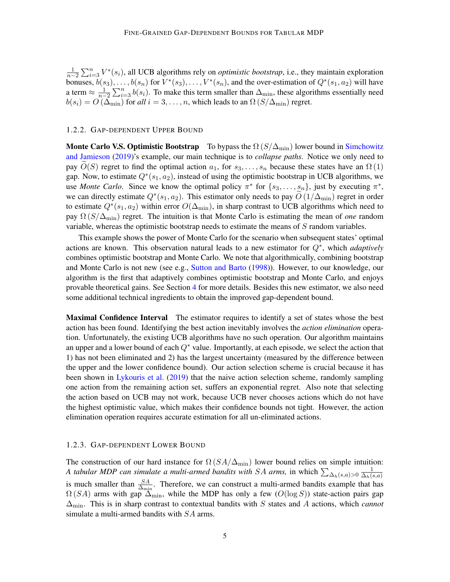$\frac{1}{n-2}\sum_{i=3}^{n}V^*(s_i)$ , all UCB algorithms rely on *optimistic bootstrap*, i.e., they maintain exploration bonuses,  $b(s_3), \ldots, b(s_n)$  for  $V^*(s_3), \ldots, V^*(s_n)$ , and the over-estimation of  $Q^*(s_1, a_2)$  will have a term  $\approx \frac{1}{n-2} \sum_{i=3}^{n} b(s_i)$ . To make this term smaller than  $\Delta_{\min}$ , these algorithms essentially need  $b(s_i) = O(\Delta_{\min})$  for *all*  $i = 3, ..., n$ , which leads to an  $\Omega(S/\Delta_{\min})$  regret.

#### 1.2.2. GAP-DEPENDENT UPPER BOUND

**Monte Carlo V.S. Optimistic Bootstrap** To bypass the  $\Omega(S/\Delta_{\min})$  lower bound in [Simchowitz](#page-14-0) [and Jamieson](#page-14-0) [\(2019\)](#page-14-0)'s example, our main technique is to *collapse paths*. Notice we only need to pay  $O(S)$  regret to find the optimal action  $a_1$ , for  $s_3, \ldots, s_n$  because these states have an  $\Omega(1)$ gap. Now, to estimate  $Q^*(s_1, a_2)$ , instead of using the optimistic bootstrap in UCB algorithms, we use *Monte Carlo*. Since we know the optimal policy  $\pi^*$  for  $\{s_3, \ldots, s_n\}$ , just by executing  $\pi^*$ , we can directly estimate  $Q^*(s_1, a_2)$ . This estimator only needs to pay  $\widetilde{O}(1/\Delta_{\min})$  regret in order to estimate  $Q^*(s_1, a_2)$  within error  $O(\Delta_{\text{min}})$ , in sharp contrast to UCB algorithms which need to pay Ω (S/∆min) regret. The intuition is that Monte Carlo is estimating the mean of *one* random variable, whereas the optimistic bootstrap needs to estimate the means of S random variables.

This example shows the power of Monte Carlo for the scenario when subsequent states' optimal actions are known. This observation natural leads to a new estimator for Q<sup>∗</sup> , which *adaptively* combines optimistic bootstrap and Monte Carlo. We note that algorithmically, combining bootstrap and Monte Carlo is not new (see e.g., [Sutton and Barto](#page-14-13) [\(1998\)](#page-14-13)). However, to our knowledge, our algorithm is the first that adaptively combines optimistic bootstrap and Monte Carlo, and enjoys provable theoretical gains. See Section [4](#page-6-0) for more details. Besides this new estimator, we also need some additional technical ingredients to obtain the improved gap-dependent bound.

**Maximal Confidence Interval** The estimator requires to identify a set of states whose the best action has been found. Identifying the best action inevitably involves the *action elimination* operation. Unfortunately, the existing UCB algorithms have no such operation. Our algorithm maintains an upper and a lower bound of each  $Q^*$  value. Importantly, at each episode, we select the action that 1) has not been eliminated and 2) has the largest uncertainty (measured by the difference between the upper and the lower confidence bound). Our action selection scheme is crucial because it has been shown in [Lykouris et al.](#page-14-7) [\(2019\)](#page-14-7) that the naive action selection scheme, randomly sampling one action from the remaining action set, suffers an exponential regret. Also note that selecting the action based on UCB may not work, because UCB never chooses actions which do not have the highest optimistic value, which makes their confidence bounds not tight. However, the action elimination operation requires accurate estimation for all un-eliminated actions.

# 1.2.3. GAP-DEPENDENT LOWER BOUND

The construction of our hard instance for  $\Omega(SA/\Delta_{\min})$  lower bound relies on simple intuition: *A tabular MDP can simulate a multi-armed bandits with SA arms, in which*  $\sum_{\Delta_h(s,a)>0} \frac{1}{\Delta_h(s,a)}$  $\Delta_h(s,a)$ is much smaller than  $\frac{SA}{\Delta_{\min}}$ . Therefore, we can construct a multi-armed bandits example that has  $\Omega(SA)$  arms with gap  $\Delta_{\min}$ , while the MDP has only a few  $(O(\log S))$  state-action pairs gap  $\Delta_{\text{min}}$ . This is in sharp contrast to contextual bandits with S states and A actions, which *cannot* simulate a multi-armed bandits with SA arms.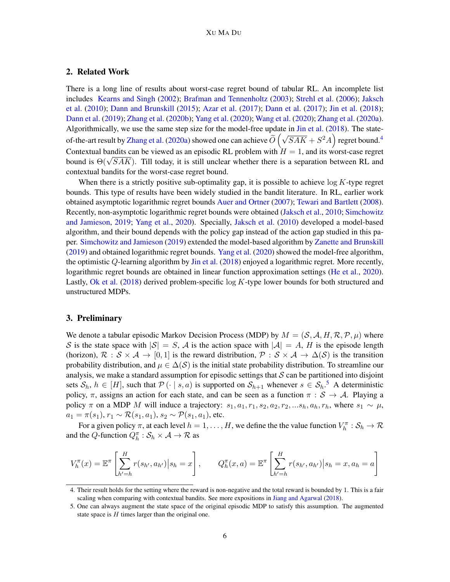# 2. Related Work

There is a long line of results about worst-case regret bound of tabular RL. An incomplete list includes [Kearns and Singh](#page-14-14) [\(2002\)](#page-14-14); [Brafman and Tennenholtz](#page-13-1) [\(2003\)](#page-13-1); [Strehl et al.](#page-14-11) [\(2006\)](#page-14-11); [Jaksch](#page-14-4) [et al.](#page-14-4) [\(2010\)](#page-14-4); [Dann and Brunskill](#page-13-2) [\(2015\)](#page-13-2); [Azar et al.](#page-13-3) [\(2017\)](#page-13-3); [Dann et al.](#page-13-4) [\(2017\)](#page-13-4); [Jin et al.](#page-14-12) [\(2018\)](#page-14-12); [Dann et al.](#page-13-5) [\(2019\)](#page-13-5); [Zhang et al.](#page-15-1) [\(2020b\)](#page-15-1); [Yang et al.](#page-14-8) [\(2020\)](#page-14-8); [Wang et al.](#page-14-10) [\(2020\)](#page-14-10); [Zhang et al.](#page-15-0) [\(2020a\)](#page-15-0). Algorithmically, we use the same step size for the model-free update in [Jin et al.](#page-14-12) [\(2018\)](#page-14-12). The state-of-the-art result by [Zhang et al.](#page-15-0) [\(2020a\)](#page-15-0) showed one can achieve  $O$  $(\sqrt{SAK} + S^2A)$  regret bound.<sup>[4](#page-0-1)</sup> Contextual bandits can be viewed as an episodic RL problem with  $H = 1$ , and its worst-case regret Contextual bandits can be viewed as an episodic KL problem with  $H = 1$ , and its worst-case regret bound is  $\Theta(\sqrt{SAK})$ . Till today, it is still unclear whether there is a separation between RL and contextual bandits for the worst-case regret bound.

When there is a strictly positive sub-optimality gap, it is possible to achieve  $\log K$ -type regret bounds. This type of results have been widely studied in the bandit literature. In RL, earlier work obtained asymptotic logarithmic regret bounds [Auer and Ortner](#page-13-6) [\(2007\)](#page-13-6); [Tewari and Bartlett](#page-14-5) [\(2008\)](#page-14-5). Recently, non-asymptotic logarithmic regret bounds were obtained [\(Jaksch et al.,](#page-14-4) [2010;](#page-14-4) [Simchowitz](#page-14-0) [and Jamieson,](#page-14-0) [2019;](#page-14-0) [Yang et al.,](#page-14-8) [2020\)](#page-14-8). Specially, [Jaksch et al.](#page-14-4) [\(2010\)](#page-14-4) developed a model-based algorithm, and their bound depends with the policy gap instead of the action gap studied in this paper. [Simchowitz and Jamieson](#page-14-0) [\(2019\)](#page-14-0) extended the model-based algorithm by [Zanette and Brunskill](#page-15-2) [\(2019\)](#page-15-2) and obtained logarithmic regret bounds. [Yang et al.](#page-14-8) [\(2020\)](#page-14-8) showed the model-free algorithm, the optimistic Q-learning algorithm by [Jin et al.](#page-14-12) [\(2018\)](#page-14-12) enjoyed a logarithmic regret. More recently, logarithmic regret bounds are obtained in linear function approximation settings [\(He et al.,](#page-14-15) [2020\)](#page-14-15). Lastly, [Ok et al.](#page-14-6)  $(2018)$  derived problem-specific log K-type lower bounds for both structured and unstructured MDPs.

# 3. Preliminary

We denote a tabular episodic Markov Decision Process (MDP) by  $M = (S, A, H, R, P, \mu)$  where S is the state space with  $|S| = S$ , A is the action space with  $|A| = A$ , H is the episode length (horizon),  $\mathcal{R}: \mathcal{S} \times \mathcal{A} \to [0,1]$  is the reward distribution,  $\mathcal{P}: \mathcal{S} \times \mathcal{A} \to \Delta(\mathcal{S})$  is the transition probability distribution, and  $\mu \in \Delta(\mathcal{S})$  is the initial state probability distribution. To streamline our analysis, we make a standard assumption for episodic settings that  $S$  can be partitioned into disjoint sets  $S_h$ ,  $h \in [H]$ , such that  $\mathcal{P}(\cdot | s, a)$  is supported on  $S_{h+1}$  whenever  $s \in S_h$ .<sup>[5](#page-0-1)</sup> A deterministic policy,  $\pi$ , assigns an action for each state, and can be seen as a function  $\pi : \mathcal{S} \to \mathcal{A}$ . Playing a policy  $\pi$  on a MDP M will induce a trajectory:  $s_1, a_1, r_1, s_2, a_2, r_2, ... s_h, a_h, r_h$ , where  $s_1 \sim \mu$ ,  $a_1 = \pi(s_1), r_1 \sim \mathcal{R}(s_1, a_1), s_2 \sim \mathcal{P}(s_1, a_1)$ , etc.

For a given policy  $\pi$ , at each level  $h = 1, \dots, H$ , we define the the value function  $V_h^{\pi} : S_h \to \mathcal{R}$ and the Q-function  $Q_h^{\pi} : \mathcal{S}_h \times \mathcal{A} \to \mathcal{R}$  as

$$
V_h^{\pi}(x) = \mathbb{E}^{\pi} \left[ \sum_{h'=h}^H r(s_{h'}, a_{h'}) \Big| s_h = x \right], \qquad Q_h^{\pi}(x, a) = \mathbb{E}^{\pi} \left[ \sum_{h'=h}^H r(s_{h'}, a_{h'}) \Big| s_h = x, a_h = a \right]
$$

<sup>4.</sup> Their result holds for the setting where the reward is non-negative and the total reward is bounded by 1. This is a fair scaling when comparing with contextual bandits. See more expositions in [Jiang and Agarwal](#page-14-9) [\(2018\)](#page-14-9).

<sup>5.</sup> One can always augment the state space of the original episodic MDP to satisfy this assumption. The augmented state space is  $H$  times larger than the original one.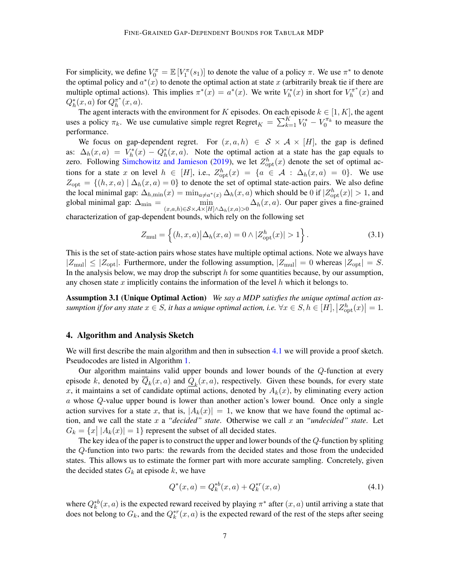For simplicity, we define  $V_0^{\pi} = \mathbb{E}[V_1^{\pi}(s_1)]$  to denote the value of a policy  $\pi$ . We use  $\pi^*$  to denote the optimal policy and  $a^*(x)$  to denote the optimal action at state x (arbitrarily break tie if there are multiple optimal actions). This implies  $\pi^*(x) = a^*(x)$ . We write  $V_h^*(x)$  in short for  $V_h^{\pi^*}$  $\int_h^{\pi^*}(x)$  and  $Q_h^*(x,a)$  for  $Q_h^{\pi^*}$  $_{h}^{\pi^*}(x,a).$ 

The agent interacts with the environment for K episodes. On each episode  $k \in [1, K]$ , the agent uses a policy  $\pi_k$ . We use cumulative simple regret Regret $K = \sum_{k=1}^{K} V_0^* - V_0^{\pi_k}$  to measure the performance.

We focus on gap-dependent regret. For  $(x, a, h) \in S \times A \times [H]$ , the gap is defined as:  $\Delta_h(x,a) = V_h^*(x) - Q_h^*(x,a)$ . Note the optimal action at a state has the gap equals to zero. Following [Simchowitz and Jamieson](#page-14-0) [\(2019\)](#page-14-0), we let  $Z_{\text{opt}}^h(x)$  denote the set of optimal actions for a state x on level  $h \in [H]$ , i.e.,  $Z_{\text{opt}}^h(x) = \{a \in \mathcal{A} : \Delta_h(x, a) = 0\}$ . We use  $Z_{\text{opt}} = \{(h, x, a) | \Delta_h(x, a) = 0\}$  to denote the set of optimal state-action pairs. We also define the local minimal gap:  $\Delta_{h,\min}(x) = \min_{a \neq a^*(x)} \Delta_h(x, a)$  which should be 0 if  $|Z_{\text{opt}}^h(x)| > 1$ , and global minimal gap:  $\Delta_{\min}$  =  $\min_{(x,a,h)\in\mathcal{S}\times\mathcal{A}\times[H]\wedge\Delta_h(x,a)>0} \Delta_h(x,a)$ . Our paper gives a fine-grained

characterization of gap-dependent bounds, which rely on the following set

<span id="page-6-1"></span>
$$
Z_{\text{mul}} = \left\{ (h, x, a) | \Delta_h(x, a) = 0 \wedge |Z_{\text{opt}}^h(x)| > 1 \right\}.
$$
 (3.1)

This is the set of state-action pairs whose states have multiple optimal actions. Note we always have  $|Z_{\text{mul}}| \leq |Z_{\text{opt}}|$ . Furthermore, under the following assumption,  $|Z_{\text{mul}}| = 0$  whereas  $|Z_{\text{opt}}| = S$ . In the analysis below, we may drop the subscript  $h$  for some quantities because, by our assumption, any chosen state x implicitly contains the information of the level  $h$  which it belongs to.

Assumption 3.1 (Unique Optimal Action) *We say a MDP satisfies the unique optimal action as* $sumption if for any state  $x \in S$ , it has a unique optimal action, i.e.  $\forall x \in S, h \in [H], \left| Z_{\text{opt}}^{h}(x) \right| = 1$ .$ 

# <span id="page-6-0"></span>4. Algorithm and Analysis Sketch

We will first describe the main algorithm and then in subsection [4.1](#page-9-0) we will provide a proof sketch. Pseudocodes are listed in Algorithm [1.](#page-7-0)

Our algorithm maintains valid upper bounds and lower bounds of the Q-function at every episode k, denoted by  $Q_k(x, a)$  and  $Q_k(x, a)$ , respectively. Given these bounds, for every state x, it maintains a set of candidate optimal actions, denoted by  $A_k(x)$ , by eliminating every action a whose Q-value upper bound is lower than another action's lower bound. Once only a single action survives for a state x, that is,  $|A_k(x)| = 1$ , we know that we have found the optimal action, and we call the state x a *"decided" state*. Otherwise we call x an *"undecided" state*. Let  $G_k = \{x \mid |A_k(x)| = 1\}$  represent the subset of all decided states.

The key idea of the paper is to construct the upper and lower bounds of the Q-function by spliting the Q-function into two parts: the rewards from the decided states and those from the undecided states. This allows us to estimate the former part with more accurate sampling. Concretely, given the decided states  $G_k$  at episode k, we have

<span id="page-6-2"></span>
$$
Q^*(x, a) = Q_k^{*b}(x, a) + Q_k^{*r}(x, a)
$$
\n(4.1)

where  $Q_k^{*b}(x, a)$  is the expected reward received by playing  $\pi^*$  after  $(x, a)$  until arriving a state that does not belong to  $G_k$ , and the  $Q_k^{*r}(x, a)$  is the expected reward of the rest of the steps after seeing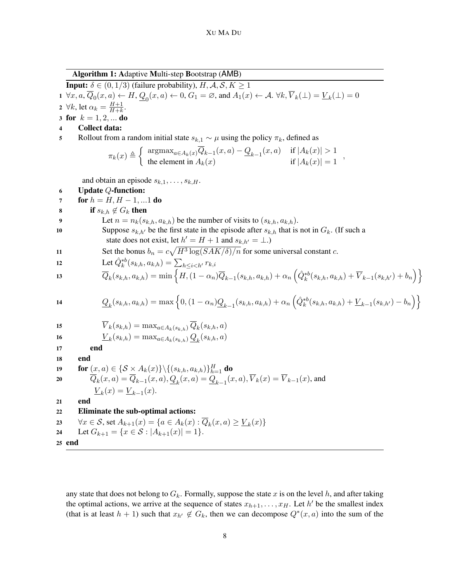Algorithm 1: Adaptive Multi-step Bootstrap (AMB)

<span id="page-7-0"></span>**Input:**  $\delta \in (0, 1/3)$  (failure probability),  $H, A, S, K \ge 1$ 1  $\forall x, a, \overline{Q}_0(x, a) \leftarrow H, Q_0(x, a) \leftarrow 0, G_1 = \emptyset$ , and  $A_1(x) \leftarrow A$ .  $\forall k, \overline{V}_k(\bot) = \underline{V}_k(\bot) = 0$ 2  $\forall k$ , let  $\alpha_k = \frac{H+1}{H+k}$  $\frac{H+1}{H+k}$ . 3 for  $k = 1, 2, ...$  do 4 Collect data: 5 Rollout from a random initial state  $s_{k,1} \sim \mu$  using the policy  $\pi_k$ , defined as  $\int \arg \max_{a \in A_k(x)} Q_{k-1}(x, a) - Q_{k-1}(x, a) \text{ if } |A_k(x)| > 1$ ,

<span id="page-7-5"></span>
$$
\pi_k(x) \triangleq \begin{cases} \n\text{argmax}_{a \in A_k(x)} \forall k = 1 \langle x, a \rangle - \underbrace{\forall}_{k=1} \langle x, a \rangle & \text{if } |A_k(x)| > 1 \\ \n\text{the element in } A_k(x) & \text{if } |A_k(x)| = 1 \n\end{cases}
$$

<span id="page-7-2"></span><span id="page-7-1"></span>and obtain an episode  $s_{k,1}$ ,  $s_{k,H}$ 

6 Update Q-function: 7 for h = H, H − 1, ...1 do <sup>8</sup> if sk,h 6∈ G<sup>k</sup> then <sup>9</sup> Let n = nk(sk,h, ak,h) be the number of visits to (sk,h, ak,h). <sup>10</sup> Suppose sk,h<sup>0</sup> be the first state in the episode after sk,h that is not in Gk. (If such a state does not exist, let h <sup>0</sup> = H + 1 and sk,h<sup>0</sup> = ⊥.) <sup>11</sup> Set the bonus b<sup>n</sup> = c p H<sup>3</sup> log(SAK/δ)/n for some universal constant c. <sup>12</sup> Let Qˆ∗<sup>b</sup> k (sk,h, ak,h) = P <sup>h</sup>≤i<h<sup>0</sup> rk,i <sup>13</sup> Q<sup>k</sup> (sk,h, ak,h) = min <sup>n</sup> H,(1 − αn)Qk−<sup>1</sup> (sk,h, ak,h) + α<sup>n</sup> Qˆ∗<sup>b</sup> k (sk,h, ak,h) + V <sup>k</sup>−1(sk,h<sup>0</sup>) + b<sup>n</sup> o <sup>14</sup> Q<sup>k</sup> (sk,h, ak,h) = max <sup>n</sup> 0,(1 − αn)Qk−<sup>1</sup> (sk,h, ak,h) + α<sup>n</sup> Qˆ∗<sup>b</sup> k (sk,h, ak,h) + V <sup>k</sup>−<sup>1</sup> (sk,h<sup>0</sup>) − b<sup>n</sup> o <sup>15</sup> V <sup>k</sup>(sk,h) = maxa∈Ak(sk,h) Q<sup>k</sup> (sk,h, a) <sup>16</sup> V <sup>k</sup> (sk,h) = maxa∈Ak(sk,h) Q<sup>k</sup> (sk,h, a) 17 end 18 end <sup>19</sup> for (x, a) ∈ {S × Ak(x)}\{(sk,h, ak,h)} H <sup>h</sup>=1 do <sup>20</sup> Q<sup>k</sup> (x, a) = Qk−<sup>1</sup> (x, a), Q<sup>k</sup> (x, a) = Qk−<sup>1</sup> (x, a), V <sup>k</sup>(x) = V <sup>k</sup>−1(x), and V <sup>k</sup> (x) = V <sup>k</sup>−<sup>1</sup> (x). 21 end 22 Eliminate the sub-optimal actions: <sup>23</sup> ∀x ∈ S, set Ak+1(x) = {a ∈ Ak(x) : Q<sup>k</sup> (x, a) ≥ V <sup>k</sup> (x)} <sup>24</sup> Let Gk+1 = {x ∈ S : |Ak+1(x)| = 1}.

<span id="page-7-7"></span><span id="page-7-6"></span><span id="page-7-4"></span><span id="page-7-3"></span>25 end

any state that does not belong to  $G_k$ . Formally, suppose the state x is on the level h, and after taking the optimal actions, we arrive at the sequence of states  $x_{h+1}, \ldots, x_H$ . Let h' be the smallest index (that is at least  $h + 1$ ) such that  $x_{h'} \notin G_k$ , then we can decompose  $Q^*(x, a)$  into the sum of the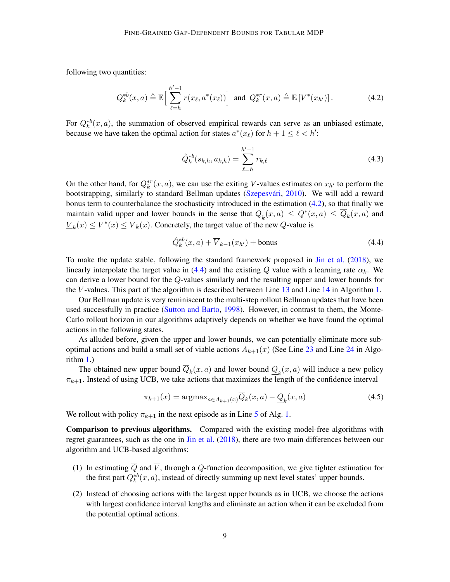following two quantities:

$$
Q_k^{*b}(x, a) \triangleq \mathbb{E}\Big[\sum_{\ell=h}^{h'-1} r(x_\ell, a^*(x_\ell))\Big] \text{ and } Q_k^{*r}(x, a) \triangleq \mathbb{E}\left[V^*(x_{h'})\right].
$$
 (4.2)

For  $Q_k^{*b}(x, a)$ , the summation of observed empirical rewards can serve as an unbiased estimate, because we have taken the optimal action for states  $a^*(x_\ell)$  for  $h + 1 \leq \ell < h'$ :

<span id="page-8-0"></span>
$$
\hat{Q}_{k}^{*b}(s_{k,h}, a_{k,h}) = \sum_{\ell=h}^{h'-1} r_{k,\ell} \tag{4.3}
$$

On the other hand, for  $Q_k^{*r}(x, a)$ , we can use the exiting V-values estimates on  $x_{h'}$  to perform the bootstrapping, similarly to standard Bellman updates (Szepesvári, [2010\)](#page-14-16). We will add a reward bonus term to counterbalance the stochasticity introduced in the estimation [\(4.2\)](#page-8-0), so that finally we maintain valid upper and lower bounds in the sense that  $Q_k(x, a) \le Q^*(x, a) \le \overline{Q}_k(x, a)$  and  $\underline{V}_k(x) \leq V^*(x) \leq \overline{V}_k(x)$ . Concretely, the target value of the new Q-value is

<span id="page-8-1"></span>
$$
\hat{Q}_k^{*b}(x,a) + \overline{V}_{k-1}(x_{h'}) + \text{bonus}
$$
\n(4.4)

To make the update stable, following the standard framework proposed in [Jin et al.](#page-14-12) [\(2018\)](#page-14-12), we linearly interpolate the target value in [\(4.4\)](#page-8-1) and the existing Q value with a learning rate  $\alpha_k$ . We can derive a lower bound for the Q-values similarly and the resulting upper and lower bounds for the V -values. This part of the algorithm is described between Line [13](#page-7-1) and Line [14](#page-7-2) in Algorithm [1.](#page-7-0)

Our Bellman update is very reminiscent to the multi-step rollout Bellman updates that have been used successfully in practice [\(Sutton and Barto,](#page-14-13) [1998\)](#page-14-13). However, in contrast to them, the Monte-Carlo rollout horizon in our algorithms adaptively depends on whether we have found the optimal actions in the following states.

As alluded before, given the upper and lower bounds, we can potentially eliminate more suboptimal actions and build a small set of viable actions  $A_{k+1}(x)$  (See Line [23](#page-7-3) and Line [24](#page-7-4) in Algorithm [1.](#page-7-0))

The obtained new upper bound  $Q_k(x, a)$  and lower bound  $Q_k(x, a)$  will induce a new policy  $\pi_{k+1}$ . Instead of using UCB, we take actions that maximizes the length of the confidence interval

$$
\pi_{k+1}(x) = \operatorname{argmax}_{a \in A_{k+1}(x)} \overline{Q}_k(x, a) - \underline{Q}_k(x, a)
$$
\n(4.5)

We rollout with policy  $\pi_{k+1}$  in the next episode as in Line [5](#page-7-5) of Alg. [1.](#page-7-0)

Comparison to previous algorithms. Compared with the existing model-free algorithms with regret guarantees, such as the one in [Jin et al.](#page-14-12) [\(2018\)](#page-14-12), there are two main differences between our algorithm and UCB-based algorithms:

- (1) In estimating  $\overline{Q}$  and  $\overline{V}$ , through a Q-function decomposition, we give tighter estimation for the first part  $Q_k^{*b}(x, a)$ , instead of directly summing up next level states' upper bounds.
- (2) Instead of choosing actions with the largest upper bounds as in UCB, we choose the actions with largest confidence interval lengths and eliminate an action when it can be excluded from the potential optimal actions.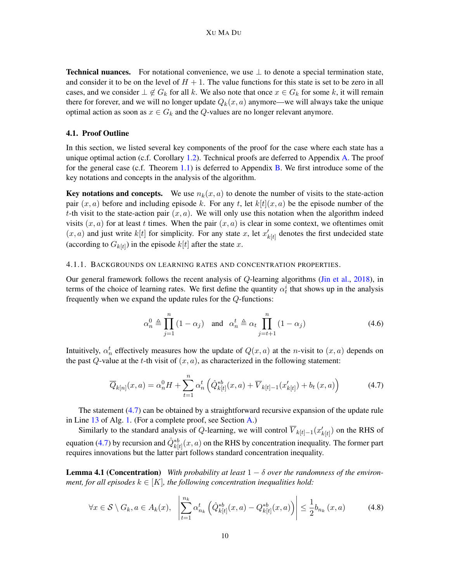**Technical nuances.** For notational convenience, we use  $\perp$  to denote a special termination state, and consider it to be on the level of  $H + 1$ . The value functions for this state is set to be zero in all cases, and we consider  $\perp \notin G_k$  for all k. We also note that once  $x \in G_k$  for some k, it will remain there for forever, and we will no longer update  $Q_k(x, a)$  anymore—we will always take the unique optimal action as soon as  $x \in G_k$  and the Q-values are no longer relevant anymore.

#### <span id="page-9-0"></span>4.1. Proof Outline

In this section, we listed several key components of the proof for the case where each state has a unique optimal action (c.f. Corollary [1.2\)](#page-2-0). Technical proofs are deferred to Appendix [A.](#page-16-0) The proof for the general case (c.f. Theorem [1.1\)](#page-1-1) is deferred to Appendix [B.](#page-25-0) We first introduce some of the key notations and concepts in the analysis of the algorithm.

Key notations and concepts. We use  $n_k(x, a)$  to denote the number of visits to the state-action pair  $(x, a)$  before and including episode k. For any t, let  $k[t](x, a)$  be the episode number of the t-th visit to the state-action pair  $(x, a)$ . We will only use this notation when the algorithm indeed visits  $(x, a)$  for at least t times. When the pair  $(x, a)$  is clear in some context, we oftentimes omit  $(x, a)$  and just write  $k[t]$  for simplicity. For any state x, let  $x'_{k[t]}$  denotes the first undecided state (according to  $G_{k[t]}$ ) in the episode  $k[t]$  after the state x.

#### 4.1.1. BACKGROUNDS ON LEARNING RATES AND CONCENTRATION PROPERTIES.

Our general framework follows the recent analysis of Q-learning algorithms [\(Jin et al.,](#page-14-12) [2018\)](#page-14-12), in terms of the choice of learning rates. We first define the quantity  $\alpha_t^i$  that shows up in the analysis frequently when we expand the update rules for the Q-functions:

<span id="page-9-2"></span><span id="page-9-1"></span>
$$
\alpha_n^0 \triangleq \prod_{j=1}^n (1 - \alpha_j) \quad \text{and} \quad \alpha_n^t \triangleq \alpha_t \prod_{j=t+1}^n (1 - \alpha_j) \tag{4.6}
$$

Intuitively,  $\alpha_n^t$  effectively measures how the update of  $Q(x, a)$  at the *n*-visit to  $(x, a)$  depends on the past  $Q$ -value at the t-th visit of  $(x, a)$ , as characterized in the following statement:

$$
\overline{Q}_{k[n]}(x,a) = \alpha_n^0 H + \sum_{t=1}^n \alpha_n^t \left( \hat{Q}_{k[t]}^{*b}(x,a) + \overline{V}_{k[t]-1}(x'_{k[t]}) + b_t(x,a) \right)
$$
(4.7)

The statement [\(4.7\)](#page-9-1) can be obtained by a straightforward recursive expansion of the update rule in Line [13](#page-7-1) of Alg. [1.](#page-7-0) (For a complete proof, see Section [A.](#page-16-0))

Similarly to the standard analysis of Q-learning, we will control  $\overline{V}_{k[t]-1}(x'_{k[t]})$  on the RHS of equation [\(4.7\)](#page-9-1) by recursion and  $\hat{Q}_{k[t]}^{*b}(x, a)$  on the RHS by concentration inequality. The former part requires innovations but the latter part follows standard concentration inequality.

<span id="page-9-3"></span>**Lemma 4.1 (Concentration)** *With probability at least*  $1 - \delta$  *over the randomness of the environment, for all episodes*  $k \in [K]$ *, the following concentration inequalities hold:* 

$$
\forall x \in \mathcal{S} \setminus G_k, a \in A_k(x), \quad \left| \sum_{t=1}^{n_k} \alpha_{n_k}^t \left( \hat{Q}_{k[t]}^{*b}(x, a) - Q_{k[t]}^{*b}(x, a) \right) \right| \le \frac{1}{2} b_{n_k}(x, a) \tag{4.8}
$$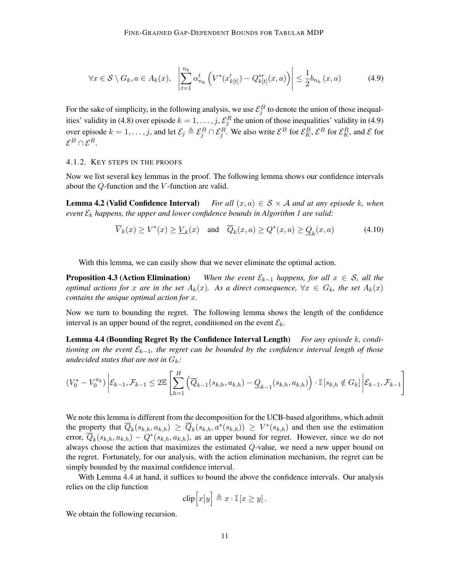$$
\forall x \in \mathcal{S} \setminus G_k, a \in A_k(x), \quad \left| \sum_{t=1}^{n_k} \alpha_{n_k}^t \left( V^*(x_{k[t]}) - Q_{k[t]}^{*r}(x, a) \right) \right| \le \frac{1}{2} b_{n_k}(x, a) \tag{4.9}
$$

For the sake of simplicity, in the following analysis, we use  $\mathcal{E}_j^B$  to denote the union of those inequalities' validity in (4.8) over episode  $k = 1, \ldots, j$ ,  $\mathcal{E}_j^R$  the union of those inequalities' validity in (4.9) over episode  $k = 1, \ldots, j$ , and let  $\mathcal{E}_j \triangleq \mathcal{E}_j^B \cap \mathcal{E}_j^R$ . We also write  $\mathcal{E}^B$  for  $\mathcal{E}_K^B$ ,  $\mathcal{E}^R$  for  $\mathcal{E}_K^R$ , and  $\mathcal{E}$  for  $\mathcal{E}^B\cap\mathcal{E}^R.$ 

# 4.1.2. KEY STEPS IN THE PROOFS

Now we list several key lemmas in the proof. The following lemma shows our confidence intervals about the Q-function and the V -function are valid.

<span id="page-10-2"></span>**Lemma 4.2 (Valid Confidence Interval)** *For all*  $(x, a) \in S \times A$  *and at any episode k, when event*  $\mathcal{E}_k$  *happens, the upper and lower confidence bounds in Algorithm [1](#page-7-0) are valid:* 

<span id="page-10-3"></span>
$$
\overline{V}_k(x) \ge V^*(x) \ge \underline{V}_k(x) \quad \text{and} \quad \overline{Q}_k(x, a) \ge Q^*(x, a) \ge \underline{Q}_k(x, a) \tag{4.10}
$$

With this lemma, we can easily show that we never eliminate the optimal action.

**Proposition 4.3 (Action Elimination)** *When the event*  $\mathcal{E}_{k-1}$  *happens, for all*  $x \in \mathcal{S}$ *, all the optimal actions for* x are in the set  $A_k(x)$ . As a direct consequence,  $\forall x \in G_k$ , the set  $A_k(x)$ *contains the unique optimal action for* x*.*

Now we turn to bounding the regret. The following lemma shows the length of the confidence interval is an upper bound of the regret, conditioned on the event  $\mathcal{E}_k$ .

<span id="page-10-0"></span>Lemma 4.4 (Bounding Regret By the Confidence Interval Length) *For any episode* k*, conditioning on the event* Ek−1*, the regret can be bounded by the confidence interval length of those undecided states that are not in*  $G_k$ *:* 

$$
(V_0^* - V_0^{\pi_k}) \left| \mathcal{E}_{k-1}, \mathcal{F}_{k-1} \le 2\mathbb{E}\left[\sum_{h=1}^H \left(\overline{Q}_{k-1}(s_{k,h}, a_{k,h}) - \underline{Q}_{k-1}(s_{k,h}, a_{k,h})\right) \cdot \mathbb{I}\left[s_{k,h} \notin G_k\right] \middle| \mathcal{E}_{k-1}, \mathcal{F}_{k-1}\right]
$$

We note this lemma is different from the decomposition for the UCB-based algorithms, which admit the property that  $\overline{Q}_k(s_{k,h}, a_{k,h}) \geq \overline{Q}_k(s_{k,h}, a^*(s_{k,h})) \geq V^*(s_{k,h})$  and then use the estimation error,  $\overline{Q}_k(s_{k,h}, a_{k,h}) - Q^*(s_{k,h}, a_{k,h})$ , as an upper bound for regret. However, since we do not always choose the action that maximizes the estimated Q-value, we need a new upper bound on the regret. Fortunately, for our analysis, with the action elimination mechanism, the regret can be simply bounded by the maximal confidence interval.

With Lemma [4.4](#page-10-0) at hand, it suffices to bound the above the confidence intervals. Our analysis relies on the clip function

$$
\operatorname{clip}\Big[x\big|y\Big] \triangleq x \cdot \mathbb{I}\left[x \ge y\right].
$$

<span id="page-10-1"></span>We obtain the following recursion.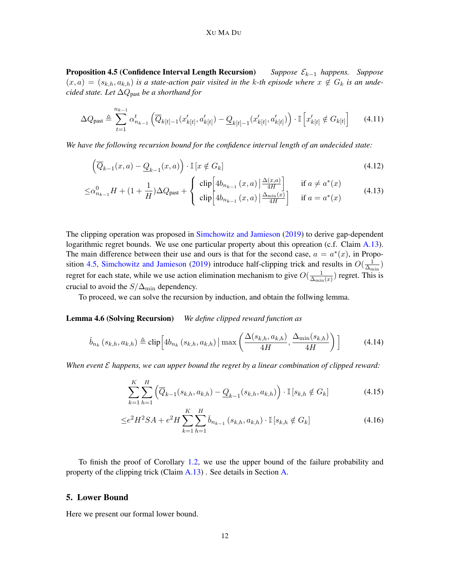### XU MA DU

Proposition 4.5 (Confidence Interval Length Recursion) *Suppose* Ek−<sup>1</sup> *happens. Suppose*  $(x, a) = (s_{k,h}, a_{k,h})$  *is a state-action pair visited in the k-th episode where*  $x \notin G_k$  *is an undecided state. Let* ∆Qpast *be a shorthand for*

$$
\Delta Q_{\text{past}} \triangleq \sum_{t=1}^{n_{k-1}} \alpha_{n_{k-1}}^{t} \left( \overline{Q}_{k[t]-1}(x'_{k[t]}, a'_{k[t]}) - \underline{Q}_{k[t]-1}(x'_{k[t]}, a'_{k[t]}) \right) \cdot \mathbb{I} \left[ x'_{k[t]} \notin G_{k[t]} \right] \tag{4.11}
$$

*We have the following recursion bound for the confidence interval length of an undecided state:*

$$
\left(\overline{Q}_{k-1}(x,a) - \underline{Q}_{k-1}(x,a)\right) \cdot \mathbb{I}\left[x \notin G_k\right] \tag{4.12}
$$

$$
\leq \alpha_{n_{k-1}}^0 H + (1 + \frac{1}{H}) \Delta Q_{\text{past}} + \begin{cases} \n\text{clip}\left[ 4b_{n_{k-1}}(x, a) \left| \frac{\Delta(x, a)}{4H} \right| \right] & \text{if } a \neq a^*(x) \\
\text{clip}\left[ 4b_{n_{k-1}}(x, a) \left| \frac{\Delta_{\min}(x)}{4H} \right| \right] & \text{if } a = a^*(x) \n\end{cases} \tag{4.13}
$$

The clipping operation was proposed in [Simchowitz and Jamieson](#page-14-0) [\(2019\)](#page-14-0) to derive gap-dependent logarithmic regret bounds. We use one particular property about this opreation (c.f. Claim [A.13\)](#page-25-1). The main difference between their use and ours is that for the second case,  $a = a^*(x)$ , in Propo-sition [4.5,](#page-10-1) [Simchowitz and Jamieson](#page-14-0) [\(2019\)](#page-14-0) introduce half-clipping trick and results in  $O(\frac{1}{\Delta_m})$  $\frac{1}{\Delta_{\min}})$ regret for each state, while we use action elimination mechanism to give  $O(\frac{1}{\Delta})$  $\frac{1}{\Delta_{\min}(x)}$ ) regret. This is crucial to avoid the  $S/\Delta_{\text{min}}$  dependency.

To proceed, we can solve the recursion by induction, and obtain the follwing lemma.

# <span id="page-11-2"></span>Lemma 4.6 (Solving Recursion) *We define clipped reward function as*

$$
\check{b}_{n_k}\left(s_{k,h}, a_{k,h}\right) \triangleq \text{clip}\left[4b_{n_k}\left(s_{k,h}, a_{k,h}\right) \mid \max\left(\frac{\Delta(s_{k,h}, a_{k,h})}{4H}, \frac{\Delta_{\min}(s_{k,h})}{4H}\right)\right]
$$
(4.14)

*When event* E *happens, we can upper bound the regret by a linear combination of clipped reward:*

$$
\sum_{k=1}^{K} \sum_{h=1}^{H} \left( \overline{Q}_{k-1}(s_{k,h}, a_{k,h}) - \underline{Q}_{k-1}(s_{k,h}, a_{k,h}) \right) \cdot \mathbb{I} \left[ s_{k,h} \notin G_k \right] \tag{4.15}
$$

<span id="page-11-1"></span>
$$
\leq e^2 H^2 SA + e^2 H \sum_{k=1}^{K} \sum_{h=1}^{H} \check{b}_{n_{k-1}}(s_{k,h}, a_{k,h}) \cdot \mathbb{I}[s_{k,h} \notin G_k]
$$
\n(4.16)

To finish the proof of Corollary [1.2,](#page-2-0) we use the upper bound of the failure probability and property of the clipping trick (Claim [A.13\)](#page-25-1) . See details in Section [A.](#page-16-0)

# <span id="page-11-0"></span>5. Lower Bound

Here we present our formal lower bound.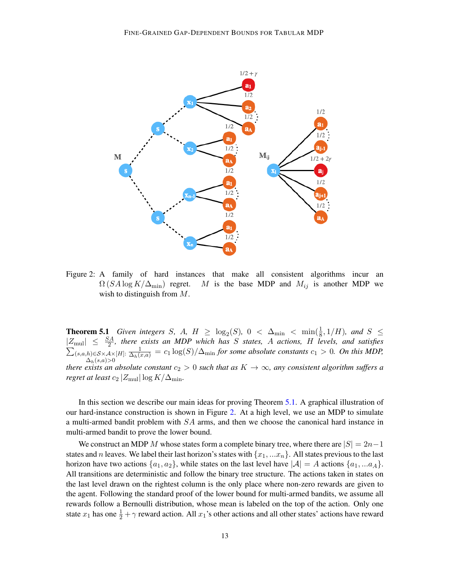

<span id="page-12-0"></span>Figure 2: A family of hard instances that make all consistent algorithms incur an  $\Omega(SA \log K/\Delta_{\min})$  regret. M is the base MDP and  $M_{ij}$  is another MDP we wish to distinguish from M.

**Theorem 5.1** *Given integers S, A, H*  $\geq \log_2(S)$ , 0 <  $\Delta_{\min}$  <  $\min(\frac{1}{8}, 1/H)$ *, and*  $S \leq$  $|Z_{\text{mul}}| \leq \frac{SA}{2}$ , there exists an MDP which has S states, A actions, H levels, and satisfies  $\sum_{(s,a,h)\in\mathcal{S}\times\mathcal{A}\times[H]}\frac{1}{\Delta_h(x,a)}=c_1\log(S)/\Delta_{\min}$  *for some absolute constants*  $c_1>0$ *. On this MDP,*  $\Delta_h(s,a)$ >0 *there exists an absolute constant*  $c_2 > 0$  *such that as*  $K \to \infty$ *, any consistent algorithm suffers a regret at least*  $c_2 |Z_{\text{mul}}| \log K/\Delta_{\text{min}}$ .

In this section we describe our main ideas for proving Theorem [5.1.](#page-11-1) A graphical illustration of our hard-instance construction is shown in Figure [2.](#page-12-0) At a high level, we use an MDP to simulate a multi-armed bandit problem with  $SA$  arms, and then we choose the canonical hard instance in multi-armed bandit to prove the lower bound.

We construct an MDP M whose states form a complete binary tree, where there are  $|S| = 2n-1$ states and n leaves. We label their last horizon's states with  $\{x_1, ... x_n\}$ . All states previous to the last horizon have two actions  $\{a_1, a_2\}$ , while states on the last level have  $|\mathcal{A}| = A$  actions  $\{a_1, ... a_A\}$ . All transitions are deterministic and follow the binary tree structure. The actions taken in states on the last level drawn on the rightest column is the only place where non-zero rewards are given to the agent. Following the standard proof of the lower bound for multi-armed bandits, we assume all rewards follow a Bernoulli distribution, whose mean is labeled on the top of the action. Only one state  $x_1$  has one  $\frac{1}{2} + \gamma$  reward action. All  $x_1$ 's other actions and all other states' actions have reward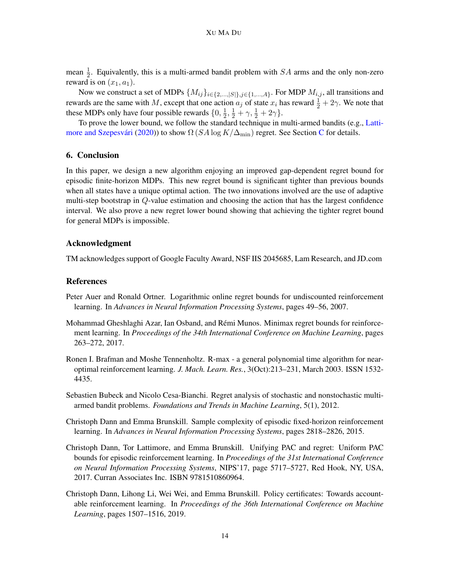mean  $\frac{1}{2}$ . Equivalently, this is a multi-armed bandit problem with SA arms and the only non-zero reward is on  $(x_1, a_1)$ .

Now we construct a set of MDPs  $\{M_{ij}\}_{i\in\{2,\ldots,|\mathcal{S}|\}, j\in\{1,\ldots,4\}}$ . For MDP  $M_{i,j}$ , all transitions and rewards are the same with M, except that one action  $a_j$  of state  $x_i$  has reward  $\frac{1}{2} + 2\gamma$ . We note that these MDPs only have four possible rewards  $\{0, \frac{1}{2}\}$  $\frac{1}{2}, \frac{1}{2} + \gamma, \frac{1}{2} + 2\gamma\}.$ 

To prove the lower bound, we follow the standard technique in multi-armed bandits (e.g., [Latti-](#page-14-2)more and Szepesvári [\(2020\)](#page-14-2)) to show  $\Omega(SA \log K/\Delta_{\min})$  regret. See Section [C](#page-31-0) for details.

## 6. Conclusion

In this paper, we design a new algorithm enjoying an improved gap-dependent regret bound for episodic finite-horizon MDPs. This new regret bound is significant tighter than previous bounds when all states have a unique optimal action. The two innovations involved are the use of adaptive multi-step bootstrap in Q-value estimation and choosing the action that has the largest confidence interval. We also prove a new regret lower bound showing that achieving the tighter regret bound for general MDPs is impossible.

# Acknowledgment

TM acknowledges support of Google Faculty Award, NSF IIS 2045685, Lam Research, and JD.com

#### References

- <span id="page-13-6"></span>Peter Auer and Ronald Ortner. Logarithmic online regret bounds for undiscounted reinforcement learning. In *Advances in Neural Information Processing Systems*, pages 49–56, 2007.
- <span id="page-13-3"></span>Mohammad Gheshlaghi Azar, Ian Osband, and Remi Munos. Minimax regret bounds for reinforce- ´ ment learning. In *Proceedings of the 34th International Conference on Machine Learning*, pages 263–272, 2017.
- <span id="page-13-1"></span>Ronen I. Brafman and Moshe Tennenholtz. R-max - a general polynomial time algorithm for nearoptimal reinforcement learning. *J. Mach. Learn. Res.*, 3(Oct):213–231, March 2003. ISSN 1532- 4435.
- <span id="page-13-0"></span>Sebastien Bubeck and Nicolo Cesa-Bianchi. Regret analysis of stochastic and nonstochastic multiarmed bandit problems. *Foundations and Trends in Machine Learning*, 5(1), 2012.
- <span id="page-13-2"></span>Christoph Dann and Emma Brunskill. Sample complexity of episodic fixed-horizon reinforcement learning. In *Advances in Neural Information Processing Systems*, pages 2818–2826, 2015.
- <span id="page-13-4"></span>Christoph Dann, Tor Lattimore, and Emma Brunskill. Unifying PAC and regret: Uniform PAC bounds for episodic reinforcement learning. In *Proceedings of the 31st International Conference on Neural Information Processing Systems*, NIPS'17, page 5717–5727, Red Hook, NY, USA, 2017. Curran Associates Inc. ISBN 9781510860964.
- <span id="page-13-5"></span>Christoph Dann, Lihong Li, Wei Wei, and Emma Brunskill. Policy certificates: Towards accountable reinforcement learning. In *Proceedings of the 36th International Conference on Machine Learning*, pages 1507–1516, 2019.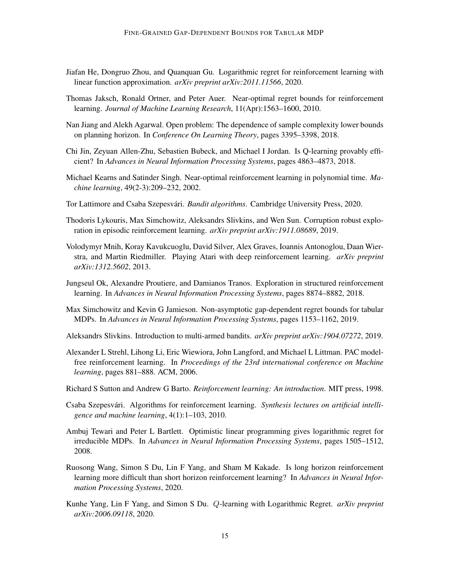- <span id="page-14-15"></span>Jiafan He, Dongruo Zhou, and Quanquan Gu. Logarithmic regret for reinforcement learning with linear function approximation. *arXiv preprint arXiv:2011.11566*, 2020.
- <span id="page-14-4"></span>Thomas Jaksch, Ronald Ortner, and Peter Auer. Near-optimal regret bounds for reinforcement learning. *Journal of Machine Learning Research*, 11(Apr):1563–1600, 2010.
- <span id="page-14-9"></span>Nan Jiang and Alekh Agarwal. Open problem: The dependence of sample complexity lower bounds on planning horizon. In *Conference On Learning Theory*, pages 3395–3398, 2018.
- <span id="page-14-12"></span>Chi Jin, Zeyuan Allen-Zhu, Sebastien Bubeck, and Michael I Jordan. Is Q-learning provably efficient? In *Advances in Neural Information Processing Systems*, pages 4863–4873, 2018.
- <span id="page-14-14"></span>Michael Kearns and Satinder Singh. Near-optimal reinforcement learning in polynomial time. *Machine learning*, 49(2-3):209–232, 2002.
- <span id="page-14-2"></span>Tor Lattimore and Csaba Szepesvári. *Bandit algorithms*. Cambridge University Press, 2020.
- <span id="page-14-7"></span>Thodoris Lykouris, Max Simchowitz, Aleksandrs Slivkins, and Wen Sun. Corruption robust exploration in episodic reinforcement learning. *arXiv preprint arXiv:1911.08689*, 2019.
- <span id="page-14-1"></span>Volodymyr Mnih, Koray Kavukcuoglu, David Silver, Alex Graves, Ioannis Antonoglou, Daan Wierstra, and Martin Riedmiller. Playing Atari with deep reinforcement learning. *arXiv preprint arXiv:1312.5602*, 2013.
- <span id="page-14-6"></span>Jungseul Ok, Alexandre Proutiere, and Damianos Tranos. Exploration in structured reinforcement learning. In *Advances in Neural Information Processing Systems*, pages 8874–8882, 2018.
- <span id="page-14-0"></span>Max Simchowitz and Kevin G Jamieson. Non-asymptotic gap-dependent regret bounds for tabular MDPs. In *Advances in Neural Information Processing Systems*, pages 1153–1162, 2019.
- <span id="page-14-3"></span>Aleksandrs Slivkins. Introduction to multi-armed bandits. *arXiv preprint arXiv:1904.07272*, 2019.
- <span id="page-14-11"></span>Alexander L Strehl, Lihong Li, Eric Wiewiora, John Langford, and Michael L Littman. PAC modelfree reinforcement learning. In *Proceedings of the 23rd international conference on Machine learning*, pages 881–888. ACM, 2006.
- <span id="page-14-13"></span>Richard S Sutton and Andrew G Barto. *Reinforcement learning: An introduction*. MIT press, 1998.
- <span id="page-14-16"></span>Csaba Szepesvári. Algorithms for reinforcement learning. Synthesis lectures on artificial intelli*gence and machine learning*, 4(1):1–103, 2010.
- <span id="page-14-5"></span>Ambuj Tewari and Peter L Bartlett. Optimistic linear programming gives logarithmic regret for irreducible MDPs. In *Advances in Neural Information Processing Systems*, pages 1505–1512, 2008.
- <span id="page-14-10"></span>Ruosong Wang, Simon S Du, Lin F Yang, and Sham M Kakade. Is long horizon reinforcement learning more difficult than short horizon reinforcement learning? In *Advances in Neural Information Processing Systems*, 2020.
- <span id="page-14-8"></span>Kunhe Yang, Lin F Yang, and Simon S Du. Q-learning with Logarithmic Regret. *arXiv preprint arXiv:2006.09118*, 2020.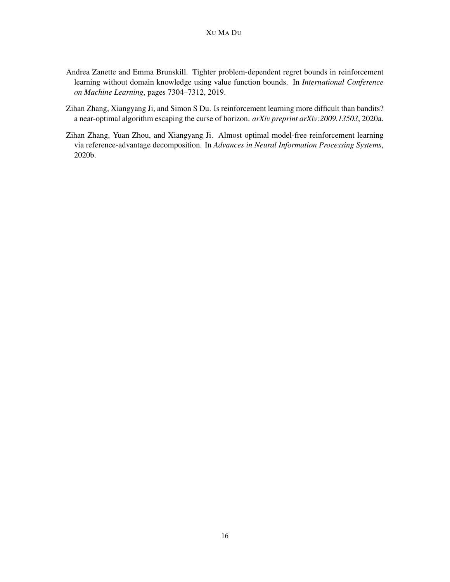- <span id="page-15-2"></span>Andrea Zanette and Emma Brunskill. Tighter problem-dependent regret bounds in reinforcement learning without domain knowledge using value function bounds. In *International Conference on Machine Learning*, pages 7304–7312, 2019.
- <span id="page-15-0"></span>Zihan Zhang, Xiangyang Ji, and Simon S Du. Is reinforcement learning more difficult than bandits? a near-optimal algorithm escaping the curse of horizon. *arXiv preprint arXiv:2009.13503*, 2020a.
- <span id="page-15-1"></span>Zihan Zhang, Yuan Zhou, and Xiangyang Ji. Almost optimal model-free reinforcement learning via reference-advantage decomposition. In *Advances in Neural Information Processing Systems*, 2020b.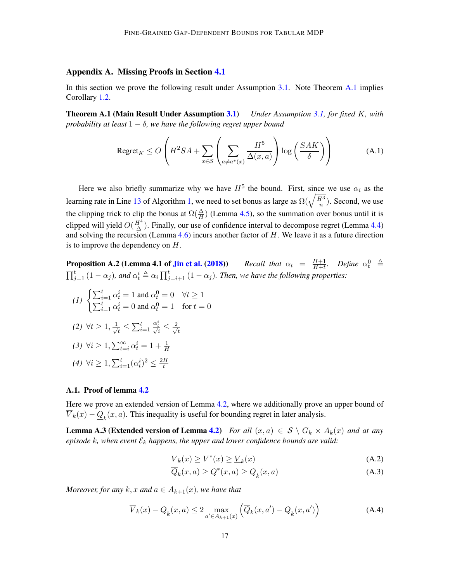# <span id="page-16-0"></span>Appendix A. Missing Proofs in Section [4.1](#page-9-0)

In this section we prove the following result under Assumption [3.1.](#page-6-1) Note Theorem [A.1](#page-16-1) implies Corollary [1.2.](#page-2-0)

Theorem A.1 (Main Result Under Assumption [3.1\)](#page-6-1) *Under Assumption [3.1,](#page-6-1) for fixed* K*, with probability at least* 1 − δ*, we have the following regret upper bound*

<span id="page-16-1"></span>
$$
\text{Regret}_K \le O\left(H^2SA + \sum_{x \in \mathcal{S}} \left(\sum_{a \neq a^*(x)} \frac{H^5}{\Delta(x, a)}\right) \log\left(\frac{SAK}{\delta}\right)\right) \tag{A.1}
$$

Here we also briefly summarize why we have  $H^5$  the bound. First, since we use  $\alpha_i$  as the learning rate in Line [13](#page-7-1) of Algorithm [1,](#page-7-0) we need to set bonus as large as  $\Omega(\sqrt{\frac{H^3}{n}})$  $\frac{d^3}{n}$ ). Second, we use the clipping trick to clip the bonus at  $\Omega(\frac{\Delta}{H})$  (Lemma [4.5\)](#page-10-1), so the summation over bonus until it is clipped will yield  $O(\frac{H^4}{\Delta})$  $\frac{H^4}{\Delta}$ ). Finally, our use of confidence interval to decompose regret (Lemma [4.4\)](#page-10-0) and solving the recursion (Lemma [4.6\)](#page-11-2) incurs another factor of  $H$ . We leave it as a future direction is to improve the dependency on  $H$ .

<span id="page-16-4"></span>**Proposition A.2 (Lemma 4.1 of [Jin et al.](#page-14-12) [\(2018\)](#page-14-12))** *Recall that*  $\alpha_t = \frac{H+1}{H+t}$  $\frac{H+1}{H+t}$ *.* Define  $\alpha_t^0 \triangleq$  $\prod_{j=1}^t (1-\alpha_j)$ , and  $\alpha_t^i \triangleq \alpha_i \prod_{j=i+1}^t (1-\alpha_j)$ . Then, we have the following properties:

$$
(I) \begin{cases} \sum_{i=1}^{t} \alpha_t^i = 1 \text{ and } \alpha_t^0 = 0 & \forall t \ge 1\\ \sum_{i=1}^{t} \alpha_t^i = 0 \text{ and } \alpha_t^0 = 1 & \text{for } t = 0 \end{cases}
$$

$$
(2) \ \forall t \geq 1, \frac{1}{\sqrt{t}} \leq \sum_{i=1}^{t} \frac{\alpha_t^i}{\sqrt{i}} \leq \frac{2}{\sqrt{t}}
$$

$$
(3) \ \forall i \geq 1, \sum_{t=i}^{\infty} \alpha_t^i = 1 + \frac{1}{H}
$$

(4) 
$$
\forall i \geq 1, \sum_{i=1}^t (\alpha_t^i)^2 \leq \frac{2H}{t}
$$

#### A.1. Proof of lemma [4.2](#page-10-2)

Here we prove an extended version of Lemma [4.2,](#page-10-2) where we additionally prove an upper bound of  $\overline{V}_k(x) - \underline{Q}_k(x, a)$ . This inequality is useful for bounding regret in later analysis.

**Lemma A.3 (Extended version of Lemma [4.2\)](#page-10-2)** *For all*  $(x, a) \in S \setminus G_k \times A_k(x)$  *and at any*  $episode\ k, when event\ \mathcal{E}_k$  happens, the upper and lower confidence bounds are valid:

<span id="page-16-3"></span><span id="page-16-2"></span>
$$
\overline{V}_k(x) \ge V^*(x) \ge \underline{V}_k(x) \tag{A.2}
$$

<span id="page-16-5"></span>
$$
\overline{Q}_k(x,a) \ge Q^*(x,a) \ge \underline{Q}_k(x,a) \tag{A.3}
$$

*Moreover, for any*  $k, x$  *and*  $a \in A_{k+1}(x)$ *, we have that* 

$$
\overline{V}_k(x) - \underline{Q}_k(x, a) \le 2 \max_{a' \in A_{k+1}(x)} \left( \overline{Q}_k(x, a') - \underline{Q}_k(x, a') \right)
$$
(A.4)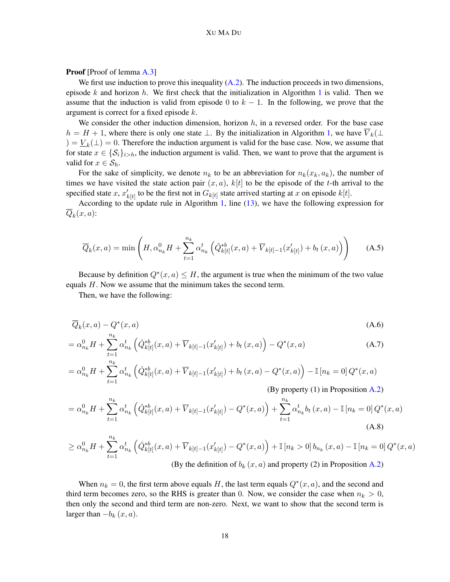Proof [Proof of lemma [A.3\]](#page-16-2)

We first use induction to prove this inequality  $(A.2)$ . The induction proceeds in two dimensions, episode k and horizon h. We first check that the initialization in Algorithm [1](#page-7-0) is valid. Then we assume that the induction is valid from episode 0 to  $k - 1$ . In the following, we prove that the argument is correct for a fixed episode k.

We consider the other induction dimension, horizon  $h$ , in a reversed order. For the base case  $h = H + 1$ , where there is only one state  $\perp$ . By the initialization in Algorithm [1,](#page-7-0) we have  $\overline{V}_k(\perp)$  $) = V_k(\perp) = 0$ . Therefore the induction argument is valid for the base case. Now, we assume that for state  $x \in \{S_i\}_{i>h}$ , the induction argument is valid. Then, we want to prove that the argument is valid for  $x \in S_h$ .

For the sake of simplicity, we denote  $n_k$  to be an abbreviation for  $n_k(x_k, a_k)$ , the number of times we have visited the state action pair  $(x, a)$ ,  $k[t]$  to be the episode of the t-th arrival to the specified state x,  $x'_{k[t]}$  to be the first not in  $G_{k[t]}$  state arrived starting at x on episode  $k[t]$ .

According to the update rule in Algorithm [1,](#page-7-0) line [\(13\)](#page-7-1), we have the following expression for  $\overline{Q}_k(x,a)$ :

$$
\overline{Q}_k(x, a) = \min\left(H, \alpha_{n_k}^0 H + \sum_{t=1}^{n_k} \alpha_{n_k}^t \left(\hat{Q}_{k[t]}^{*b}(x, a) + \overline{V}_{k[t]-1}(x_{k[t]}') + b_t(x, a)\right)\right)
$$
(A.5)

Because by definition  $Q^*(x, a) \leq H$ , the argument is true when the minimum of the two value equals H. Now we assume that the minimum takes the second term.

Then, we have the following:

$$
\overline{Q}_k(x,a) - Q^*(x,a) \tag{A.6}
$$

$$
= \alpha_{n_k}^0 H + \sum_{t=1}^{n_k} \alpha_{n_k}^t \left( \hat{Q}_{k[t]}^{*b}(x, a) + \overline{V}_{k[t]-1}(x'_{k[t]}) + b_t(x, a) \right) - Q^*(x, a)
$$
\n(A.7)\n
$$
= \alpha_{n_k}^0 H + \sum_{t=1}^{n_k} \alpha_{n_k}^t \left( \hat{Q}_{k[t]}^{*b}(x, a) + \overline{V}_{k[t]-1}(x'_{k[t]}) + b_t(x, a) - Q^*(x, a) \right) - \mathbb{I}[n_k = 0] Q^*(x, a)
$$

$$
= \alpha_{n_k}^0 H + \sum_{t=1}^{\infty} \alpha_{n_k}^t \left( \hat{Q}_{k[t]}^{*b}(x, a) + \overline{V}_{k[t]-1}(x'_{k[t]}) + b_t(x, a) - Q^*(x, a) \right) - \mathbb{I} \left[ n_k = 0 \right] Q^*(x, a)
$$
\n(By property (1) in Proposition A.2)

$$
= \alpha_{n_k}^0 H + \sum_{t=1}^{n_k} \alpha_{n_k}^t \left( \hat{Q}_{k[t]}^{*b}(x, a) + \overline{V}_{k[t]-1}(x'_{k[t]}) - Q^*(x, a) \right) + \sum_{t=1}^{n_k} \alpha_{n_k}^t b_t(x, a) - \mathbb{I}\left[n_k = 0\right] Q^*(x, a)
$$
\n(A.8)

$$
\geq \alpha_{n_k}^0 H + \sum_{t=1}^{n_k} \alpha_{n_k}^t \left( \hat{Q}_{k[t]}^{*b}(x, a) + \overline{V}_{k[t]-1}(x'_{k[t]}) - Q^*(x, a) \right) + \mathbb{I}\left[n_k > 0\right] b_{n_k}(x, a) - \mathbb{I}\left[n_k = 0\right] Q^*(x, a)
$$
\n(By the definition of  $b_k(x, a)$  and property (2) in Proposition A.2)

When  $n_k = 0$ , the first term above equals H, the last term equals  $Q^*(x, a)$ , and the second and third term becomes zero, so the RHS is greater than 0. Now, we consider the case when  $n_k > 0$ , then only the second and third term are non-zero. Next, we want to show that the second term is larger than  $-b_k(x, a)$ .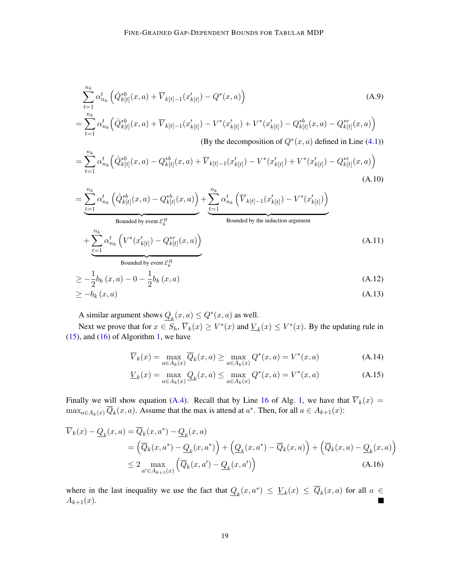$$
\sum_{t=1}^{n_k} \alpha_{n_k}^t \left( \hat{Q}_{k[t]}^{*b}(x, a) + \overline{V}_{k[t]-1}(x'_{k[t]}) - Q^*(x, a) \right)
$$
\n(A.9)  
\n
$$
= \sum_{t=1}^{n_k} \alpha_{n_k}^t \left( \hat{Q}_{k[t]}^{*b}(x, a) + \overline{V}_{k[t]-1}(x'_{k[t]}) - V^*(x'_{k[t]}) + V^*(x'_{k[t]}) - Q_{k[t]}^{*b}(x, a) - Q_{k[t]}^{*r}(x, a) \right)
$$
\n(By the decomposition of  $Q^*(x, a)$  defined in Line (4.1))

$$
= \sum_{t=1}^{n_k} \alpha_{n_k}^t \left( \hat{Q}_{k[t]}^{*b}(x, a) - Q_{k[t]}^{*b}(x, a) + \overline{V}_{k[t]-1}(x'_{k[t]}) - V^*(x'_{k[t]}) + V^*(x'_{k[t]}) - Q_{k[t]}^{*r}(x, a) \right)
$$
\n(A.10)

$$
= \underbrace{\sum_{t=1}^{n_k} \alpha_{n_k}^t \left( \hat{Q}_{k[t]}^{*b}(x, a) - Q_{k[t]}^{*b}(x, a) \right)}_{\text{Bounded by event } \mathcal{E}_k^B} + \underbrace{\sum_{t=1}^{n_k} \alpha_{n_k}^t \left( \overline{V}_{k[t]-1}(x'_{k[t]}) - V^*(x'_{k[t]}) \right)}_{\text{Bounded by the induction argument}} + \underbrace{\sum_{t=1}^{n_k} \alpha_{n_k}^t \left( V^*(x'_{k[t]}) - Q_{k[t]}^{*r}(x, a) \right)}_{\text{Bounded by event } \mathcal{E}_k^R}
$$
\n(A.11)

$$
\geq -\frac{1}{2}b_k(x,a) - 0 - \frac{1}{2}b_k(x,a)
$$
\n
$$
\geq -b_k(x,a) \tag{A.13}
$$

A similar argument shows  $Q_k(x, a) \le Q^*(x, a)$  as well.

Next we prove that for  $x \in S_h$ ,  $\overline{V}_k(x) \ge V^*(x)$  and  $\underline{V}_k(x) \le V^*(x)$ . By the updating rule in  $(15)$ , and  $(16)$  of Algorithm [1,](#page-7-0) we have

$$
\overline{V}_k(x) = \max_{a \in A_k(x)} \overline{Q}_k(x, a) \ge \max_{a \in A_k(x)} Q^*(x, a) = V^*(x, a)
$$
\n(A.14)

$$
\underline{V}_k(x) = \max_{a \in A_k(x)} \underline{Q}_k(x, a) \le \max_{a \in A_k(x)} Q^*(x, a) = V^*(x, a)
$$
\n(A.15)

Finally we will show equation [\(A.4\)](#page-16-5). Recall that by Line [16](#page-7-7) of Alg. [1,](#page-7-0) we have that  $\overline{V}_k(x)$  =  $\max_{a \in A_k(x)} \overline{Q}_k(x, a)$ . Assume that the max is attend at  $a^*$ . Then, for all  $a \in A_{k+1}(x)$ :

$$
\overline{V}_k(x) - \underline{Q}_k(x, a) = \overline{Q}_k(x, a^*) - \underline{Q}_k(x, a)
$$
\n
$$
= (\overline{Q}_k(x, a^*) - \underline{Q}_k(x, a^*) + (\underline{Q}_k(x, a^*) - \overline{Q}_k(x, a)) + (\overline{Q}_k(x, a) - \underline{Q}_k(x, a))
$$
\n
$$
\leq 2 \max_{a' \in A_{k+1}(x)} (\overline{Q}_k(x, a') - \underline{Q}_k(x, a')) \tag{A.16}
$$

where in the last inequality we use the fact that  $Q_k(x, a^*) \leq V_k(x) \leq \overline{Q}_k(x, a)$  for all  $a \in$  $A_{k+1}(x)$ .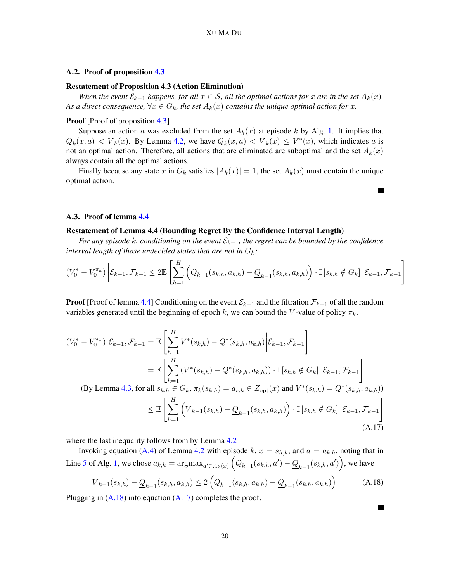# A.2. Proof of proposition [4.3](#page-10-3)

#### Restatement of Proposition 4.3 (Action Elimination)

*When the event*  $\mathcal{E}_{k-1}$  *happens, for all*  $x \in \mathcal{S}$ *, all the optimal actions for* x *are in the set*  $A_k(x)$ *.* As a direct consequence,  $\forall x \in G_k$ , the set  $A_k(x)$  contains the unique optimal action for x.

### Proof [Proof of proposition [4.3\]](#page-10-3)

Suppose an action a was excluded from the set  $A_k(x)$  at episode k by Alg. [1.](#page-7-0) It implies that  $\overline{Q}_k(x,a) < \underline{V}_k(x)$ . By Lemma [4.2,](#page-10-2) we have  $\overline{Q}_k(x,a) < \underline{V}_k(x) \leq V^*(x)$ , which indicates a is not an optimal action. Therefore, all actions that are eliminated are suboptimal and the set  $A_k(x)$ always contain all the optimal actions.

Finally because any state x in  $G_k$  satisfies  $|A_k(x)| = 1$ , the set  $A_k(x)$  must contain the unique optimal action.

#### A.3. Proof of lemma [4.4](#page-10-0)

# Restatement of Lemma 4.4 (Bounding Regret By the Confidence Interval Length)

*For any episode* k*, conditioning on the event* Ek−1*, the regret can be bounded by the confidence interval length of those undecided states that are not in*  $G_k$ :

$$
(V_0^* - V_0^{\pi_k}) \left| \mathcal{E}_{k-1}, \mathcal{F}_{k-1} \le 2\mathbb{E}\left[\sum_{h=1}^H \left(\overline{Q}_{k-1}(s_{k,h}, a_{k,h}) - \underline{Q}_{k-1}(s_{k,h}, a_{k,h})\right) \cdot \mathbb{I}\left[s_{k,h} \notin G_k\right] \middle| \mathcal{E}_{k-1}, \mathcal{F}_{k-1}\right]
$$

**Proof** [Proof of lemma [4.4\]](#page-10-0) Conditioning on the event  $\mathcal{E}_{k-1}$  and the filtration  $\mathcal{F}_{k-1}$  of all the random variables generated until the beginning of epoch k, we can bound the V-value of policy  $\pi_k$ .

$$
(V_0^* - V_0^{\pi_k}) \Big| \mathcal{E}_{k-1}, \mathcal{F}_{k-1} = \mathbb{E} \left[ \sum_{h=1}^H V^*(s_{k,h}) - Q^*(s_{k,h}, a_{k,h}) \Big| \mathcal{E}_{k-1}, \mathcal{F}_{k-1} \right]
$$
  
\n
$$
= \mathbb{E} \left[ \sum_{h=1}^H (V^*(s_{k,h}) - Q^*(s_{k,h}, a_{k,h})) \cdot \mathbb{I}[s_{k,h} \notin G_k] \Big| \mathcal{E}_{k-1}, \mathcal{F}_{k-1} \right]
$$
  
\n(By Lemma 4.3, for all  $s_{k,h} \in G_k, \pi_k(s_{k,h}) = a_{s,h} \in Z_{\text{opt}}(x)$  and  $V^*(s_{k,h}) = Q^*(s_{k,h}, a_{k,h}))$   
\n
$$
\leq \mathbb{E} \left[ \sum_{h=1}^H \left( \overline{V}_{k-1}(s_{k,h}) - \underline{Q}_{k-1}(s_{k,h}, a_{k,h}) \right) \cdot \mathbb{I}[s_{k,h} \notin G_k] \Big| \mathcal{E}_{k-1}, \mathcal{F}_{k-1} \right]
$$
  
\n(A.17)

where the last inequality follows from by Lemma [4.2](#page-10-2)

Invoking equation [\(A.4\)](#page-16-5) of Lemma [4.2](#page-10-2) with episode k,  $x = s_{h,k}$ , and  $a = a_{k,h}$ , noting that in Line [5](#page-7-5) of Alg. [1,](#page-7-0) we chose  $a_{k,h} = \text{argmax}_{a' \in A_k(x)} \left( \overline{Q}_{k-1}(s_{k,h}, a') - \underline{Q}_{k-1}(s_{k,h}, a') \right)$ , we have

$$
\overline{V}_{k-1}(s_{k,h}) - \underline{Q}_{k-1}(s_{k,h}, a_{k,h}) \le 2\left(\overline{Q}_{k-1}(s_{k,h}, a_{k,h}) - \underline{Q}_{k-1}(s_{k,h}, a_{k,h})\right)
$$
(A.18)

<span id="page-19-1"></span><span id="page-19-0"></span>П

Plugging in  $(A.18)$  into equation  $(A.17)$  completes the proof.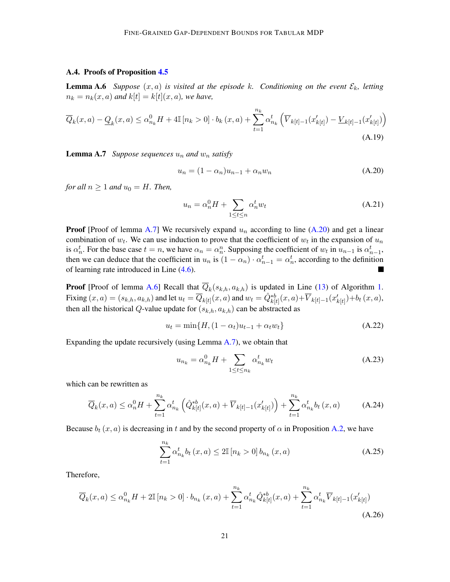# A.4. Proofs of Proposition [4.5](#page-10-1)

<span id="page-20-2"></span>**Lemma A.6** *Suppose*  $(x, a)$  *is visited at the episode k. Conditioning on the event*  $\mathcal{E}_k$ *, letting*  $n_k = n_k(x, a)$  and  $k[t] = k[t](x, a)$ , we have,

$$
\overline{Q}_k(x, a) - \underline{Q}_k(x, a) \le \alpha_{n_k}^0 H + 4\mathbb{I}[n_k > 0] \cdot b_k(x, a) + \sum_{t=1}^{n_k} \alpha_{n_k}^t \left( \overline{V}_{k[t]-1}(x'_{k[t]}) - \underline{V}_{k[t]-1}(x'_{k[t]}) \right)
$$
\n(A.19)

<span id="page-20-0"></span>**Lemma A.7** *Suppose sequences*  $u_n$  *and*  $w_n$  *satisfy* 

$$
u_n = (1 - \alpha_n)u_{n-1} + \alpha_n w_n \tag{A.20}
$$

*for all*  $n > 1$  *and*  $u_0 = H$ *. Then,* 

<span id="page-20-1"></span>
$$
u_n = \alpha_n^0 H + \sum_{1 \le t \le n} \alpha_n^t w_t \tag{A.21}
$$

**Proof** [Proof of lemma [A.7\]](#page-20-0) We recursively expand  $u_n$  according to line [\(A.20\)](#page-20-1) and get a linear combination of  $w_t$ . We can use induction to prove that the coefficient of  $w_t$  in the expansion of  $u_n$ is  $\alpha_n^t$ . For the base case  $t = n$ , we have  $\alpha_n = \alpha_n^n$ . Supposing the coefficient of  $w_t$  in  $u_{n-1}$  is  $\alpha_{n-1}^t$ , then we can deduce that the coefficient in  $u_n$  is  $(1 - \alpha_n) \cdot \alpha_{n-1}^t = \alpha_n^t$ , according to the definition of learning rate introduced in Line [\(4.6\)](#page-9-2).

**Proof** [Proof of lemma [A.6\]](#page-20-2) Recall that  $\overline{Q}_k(s_{k,h}, a_{k,h})$  is updated in Line [\(13\)](#page-7-1) of Algorithm [1.](#page-7-0) Fixing  $(x, a) = (s_{k,h}, a_{k,h})$  and let  $u_t = \overline{Q}_{k[t]}(x, a)$  and  $w_t = \hat{Q}_{k[t]}^{*b}(x, a) + \overline{V}_{k[t]-1}(x'_{k[t]}) + b_t(x, a)$ , then all the historical Q-value update for  $(s_{k,h}, a_{k,h})$  can be abstracted as

$$
u_t = \min\{H, (1 - \alpha_t)u_{t-1} + \alpha_t w_t\}
$$
 (A.22)

Expanding the update recursively (using Lemma [A.7\)](#page-20-0), we obtain that

<span id="page-20-3"></span>
$$
u_{n_k} = \alpha_{n_k}^0 H + \sum_{1 \le t \le n_k} \alpha_{n_k}^t w_t
$$
\n(A.23)

which can be rewritten as

$$
\overline{Q}_k(x,a) \le \alpha_n^0 H + \sum_{t=1}^{n_k} \alpha_{n_k}^t \left( \hat{Q}_{k[t]}^{*b}(x,a) + \overline{V}_{k[t]-1}(x'_{k[t]}) \right) + \sum_{t=1}^{n_k} \alpha_{n_k}^t b_t(x,a) \tag{A.24}
$$

Because  $b_t(x, a)$  is decreasing in t and by the second property of  $\alpha$  in Proposition [A.2,](#page-16-4) we have

$$
\sum_{t=1}^{n_k} \alpha_{n_k}^t b_t(x, a) \le 2\mathbb{I} \left[ n_k > 0 \right] b_{n_k}(x, a)
$$
\n(A.25)

Therefore,

$$
\overline{Q}_k(x, a) \le \alpha_{n_k}^0 H + 2\mathbb{I} \left[ n_k > 0 \right] \cdot b_{n_k}(x, a) + \sum_{t=1}^{n_k} \alpha_{n_k}^t \hat{Q}_{k[t]}^{*b}(x, a) + \sum_{t=1}^{n_k} \alpha_{n_k}^t \overline{V}_{k[t]-1}(x'_{k[t]}) \tag{A.26}
$$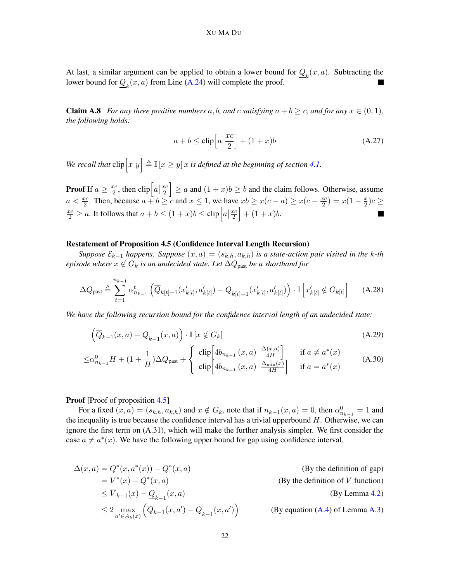At last, a similar argument can be applied to obtain a lower bound for  $Q_k(x, a)$ . Subtracting the lower bound for  $Q_k(x, a)$  from Line [\(A.24\)](#page-20-3) will complete the proof.

<span id="page-21-0"></span>**Claim A.8** *For any three positive numbers* a, b, and c *satisfying*  $a + b \geq c$ , and for any  $x \in (0, 1)$ , *the following holds:*

$$
a + b \le \text{clip}\left[a\left|\frac{xc}{2}\right]\right. + (1 + x)b\tag{A.27}
$$

We recall that  $\text{clip}\left[x|y\right] \triangleq \mathbb{I}\left[x \ge y\right]x$  is defined at the beginning of section [4.1.](#page-9-0)

**Proof** If  $a \geq \frac{xc}{2}$  $\frac{ec}{2}$ , then  $\text{clip}\left[a\left|\frac{xc}{2}\right]\right]\geq a$  and  $(1+x)b\geq b$  and the claim follows. Otherwise, assume  $a < \frac{xc}{2}$ . Then, because  $a + b \ge c$  and  $x \le 1$ , we have  $xb \ge x(c - a) \ge x(c - \frac{xc}{2})$  $\frac{xc}{2}$ ) =  $x(1-\frac{x}{2})$  $(\frac{x}{2})c \geq$  $\frac{xc}{2} \ge a$ . It follows that  $a + b \le (1 + x)b \le \text{clip}\left[a\left(\frac{xc}{2}\right) + (1 + x)b\right]$ .

#### Restatement of Proposition 4.5 (Confidence Interval Length Recursion)

*Suppose*  $\mathcal{E}_{k-1}$  *happens. Suppose*  $(x, a) = (s_{k,h}, a_{k,h})$  *is a state-action pair visited in the k-th episode where*  $x \notin G_k$  *is an undecided state. Let*  $\Delta Q_{\text{past}}$  *be a shorthand for* 

$$
\Delta Q_{\text{past}} \triangleq \sum_{t=1}^{n_{k-1}} \alpha_{n_{k-1}}^{t} \left( \overline{Q}_{k[t]-1}(x'_{k[t]}, a'_{k[t]}) - \underline{Q}_{k[t]-1}(x'_{k[t]}, a'_{k[t]}) \right) \cdot \mathbb{I} \left[ x'_{k[t]} \notin G_{k[t]} \right] \tag{A.28}
$$

*We have the following recursion bound for the confidence interval length of an undecided state:*

$$
\left(\overline{Q}_{k-1}(x,a) - \underline{Q}_{k-1}(x,a)\right) \cdot \mathbb{I}\left[x \notin G_k\right]
$$
\n(A.29)

$$
\leq \alpha_{n_{k-1}}^0 H + (1 + \frac{1}{H}) \Delta Q_{\text{past}} + \begin{cases} \n\text{clip} \left[ 4b_{n_{k-1}}(x, a) \left| \frac{\Delta(x, a)}{4H} \right| \right] & \text{if } a \neq a^*(x) \\
\text{clip} \left[ 4b_{n_{k-1}}(x, a) \left| \frac{\Delta_{\min}(x)}{4H} \right| \right] & \text{if } a = a^*(x) \n\end{cases} \tag{A.30}
$$

# Proof [Proof of proposition [4.5\]](#page-10-1)

For a fixed  $(x, a) = (s_{k,h}, a_{k,h})$  and  $x \notin G_k$ , note that if  $n_{k-1}(x, a) = 0$ , then  $\alpha_{n_{k-1}}^0 = 1$  and the inequality is true because the confidence interval has a trivial upperbound  $H$ . Otherwise, we can ignore the first term on (A.31), which will make the further analysis simpler. We first consider the case  $a \neq a^*(x)$ . We have the following upper bound for gap using confidence interval.

$$
\Delta(x, a) = Q^*(x, a^*(x)) - Q^*(x, a)
$$
\n
$$
= V^*(x) - Q^*(x, a)
$$
\n
$$
\leq \overline{V}_{k-1}(x) - \underline{Q}_{k-1}(x, a)
$$
\n
$$
\leq 2 \max_{a' \in A_k(x)} (\overline{Q}_{k-1}(x, a') - \underline{Q}_{k-1}(x, a'))
$$
\n
$$
(By the definition of V function)
$$
\n
$$
\leq 2 \max_{a' \in A_k(x)} (\overline{Q}_{k-1}(x, a') - \underline{Q}_{k-1}(x, a'))
$$
\n
$$
(By equation (A.4) of Lemma A.3)
$$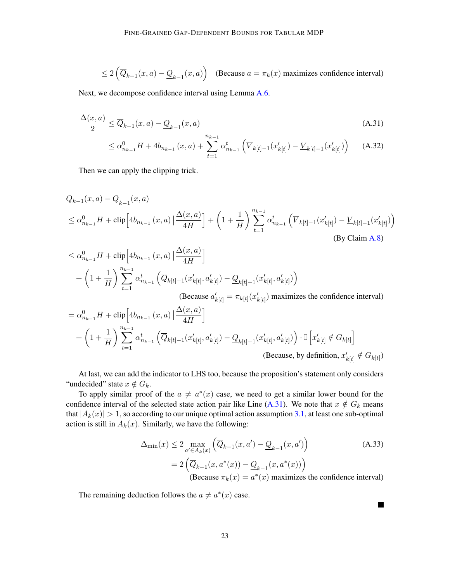$\leq 2\left(\overline{Q}_{k-1}(x,a)-\underline{Q}_{k-1}(x,a)\right)$  (Because  $a=\pi_k(x)$  maximizes confidence interval)

Next, we decompose confidence interval using Lemma [A.6.](#page-20-2)

$$
\frac{\Delta(x,a)}{2} \le \overline{Q}_{k-1}(x,a) - \underline{Q}_{k-1}(x,a) \tag{A.31}
$$

<span id="page-22-0"></span>
$$
\leq \alpha_{n_{k-1}}^0 H + 4b_{n_{k-1}}(x, a) + \sum_{t=1}^{n_{k-1}} \alpha_{n_{k-1}}^t \left( \overline{V}_{k[t]-1}(x'_{k[t]}) - \underline{V}_{k[t]-1}(x'_{k[t]}) \right) \tag{A.32}
$$

Then we can apply the clipping trick.

$$
\overline{Q}_{k-1}(x, a) - \underline{Q}_{k-1}(x, a)
$$
\n
$$
\leq \alpha_{n_{k-1}}^0 H + \text{clip}\left[4b_{n_{k-1}}(x, a)\left|\frac{\Delta(x, a)}{4H}\right.\right] + \left(1 + \frac{1}{H}\right) \sum_{t=1}^{n_{k-1}} \alpha_{n_{k-1}}^t \left(\overline{V}_{k[t]-1}(x'_{k[t]}) - \underline{V}_{k[t]-1}(x'_{k[t]})\right)
$$
\n(By Claim A.8)

$$
\leq \alpha_{n_{k-1}}^{0} H + \text{clip} \Big[ 4b_{n_{k-1}}(x, a) \Big| \frac{\Delta(x, a)}{4H} \Big] \n+ \left( 1 + \frac{1}{H} \right) \sum_{t=1}^{n_{k-1}} \alpha_{n_{k-1}}^{t} \Big( \overline{Q}_{k[t]-1}(x'_{k[t]}, a'_{k[t]}) - \underline{Q}_{k[t]-1}(x'_{k[t]}, a'_{k[t]}) \Big) \n(Because  $a'_{k[t]} = \pi_{k[t]}(x'_{k[t]})$  maximizes the confidence interval)  
\n
$$
= \alpha_{n_{k-1}}^{0} H + \text{clip} \Big[ 4b_{n_{k-1}}(x, a) \Big| \frac{\Delta(x, a)}{4H} \Big] \n+ \left( 1 + \frac{1}{H} \right) \sum_{t=1}^{n_{k-1}} \alpha_{n_{k-1}}^{t} \Big( \overline{Q}_{k[t]-1}(x'_{k[t]}, a'_{k[t]}) - \underline{Q}_{k[t]-1}(x'_{k[t]}, a'_{k[t]}) \Big) \cdot \mathbb{I} \Big[ x'_{k[t]} \notin G_{k[t]} \Big] \n(Because, by definition,  $x'_{k[t]} \notin G_{k[t]})$
$$
$$

At last, we can add the indicator to LHS too, because the proposition's statement only considers "undecided" state  $x \notin G_k$ .

To apply similar proof of the  $a \neq a^*(x)$  case, we need to get a similar lower bound for the confidence interval of the selected state action pair like Line [\(A.31\)](#page-22-0). We note that  $x \notin G_k$  means that  $|A_k(x)| > 1$ , so according to our unique optimal action assumption [3.1,](#page-6-1) at least one sub-optimal action is still in  $A_k(x)$ . Similarly, we have the following:

$$
\Delta_{\min}(x) \le 2 \max_{a' \in A_k(x)} \left( \overline{Q}_{k-1}(x, a') - \underline{Q}_{k-1}(x, a') \right)
$$
\n
$$
= 2 \left( \overline{Q}_{k-1}(x, a^*(x)) - \underline{Q}_{k-1}(x, a^*(x)) \right)
$$
\n(Because  $\pi_k(x) = a^*(x)$  maximizes the confidence interval)

 $\blacksquare$ 

The remaining deduction follows the  $a \neq a^*(x)$  case.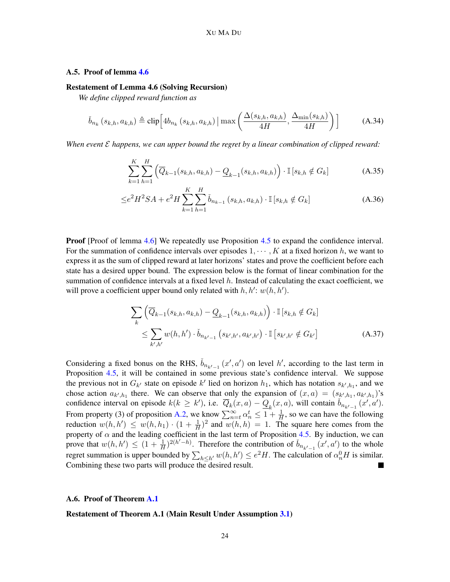# A.5. Proof of lemma [4.6](#page-11-2)

#### Restatement of Lemma 4.6 (Solving Recursion)

*We define clipped reward function as*

$$
\check{b}_{n_k}\left(s_{k,h}, a_{k,h}\right) \triangleq \text{clip}\left[4b_{n_k}\left(s_{k,h}, a_{k,h}\right) \mid \max\left(\frac{\Delta(s_{k,h}, a_{k,h})}{4H}, \frac{\Delta_{\min}(s_{k,h})}{4H}\right)\right]
$$
(A.34)

*When event* E *happens, we can upper bound the regret by a linear combination of clipped reward:*

$$
\sum_{k=1}^{K} \sum_{h=1}^{H} \left( \overline{Q}_{k-1}(s_{k,h}, a_{k,h}) - \underline{Q}_{k-1}(s_{k,h}, a_{k,h}) \right) \cdot \mathbb{I} \left[ s_{k,h} \notin G_k \right] \tag{A.35}
$$

$$
\leq e^2 H^2 SA + e^2 H \sum_{k=1}^{K} \sum_{h=1}^{H} \check{b}_{n_{k-1}} \left( s_{k,h}, a_{k,h} \right) \cdot \mathbb{I} \left[ s_{k,h} \notin G_k \right] \tag{A.36}
$$

**Proof** [Proof of lemma [4.6\]](#page-11-2) We repeatedly use Proposition [4.5](#page-10-1) to expand the confidence interval. For the summation of confidence intervals over episodes  $1, \dots, K$  at a fixed horizon h, we want to express it as the sum of clipped reward at later horizons' states and prove the coefficient before each state has a desired upper bound. The expression below is the format of linear combination for the summation of confidence intervals at a fixed level  $h$ . Instead of calculating the exact coefficient, we will prove a coefficient upper bound only related with  $h, h' : w(h, h')$ .

$$
\sum_{k} \left( \overline{Q}_{k-1}(s_{k,h}, a_{k,h}) - \underline{Q}_{k-1}(s_{k,h}, a_{k,h}) \right) \cdot \mathbb{I} \left[ s_{k,h} \notin G_k \right] \\
\leq \sum_{k',h'} w(h, h') \cdot \check{b}_{n_{k'-1}} \left( s_{k',h'}, a_{k',h'} \right) \cdot \mathbb{I} \left[ s_{k',h'} \notin G_{k'} \right] \tag{A.37}
$$

Considering a fixed bonus on the RHS,  $\check{b}_{n_{k'-1}}(x', a')$  on level h', according to the last term in Proposition [4.5,](#page-10-1) it will be contained in some previous state's confidence interval. We suppose the previous not in  $G_{k'}$  state on episode k' lied on horizon  $h_1$ , which has notation  $s_{k',h_1}$ , and we chose action  $a_{k',h_1}$  there. We can observe that only the expansion of  $(x,a) = (s_{k',h_1}, a_{k',h_1})$ 's confidence interval on episode  $k(k \ge k')$ , i.e.  $\overline{Q}_k(x,a) - \underline{Q}_k(x,a)$ , will contain  $\check{b}_{n_{k'-1}}(x',a')$ . From property (3) of proposition [A.2,](#page-16-4) we know  $\sum_{n=t}^{\infty} \alpha_n^t \leq 1 + \frac{1}{H}$ , so we can have the following reduction  $w(h, h') \leq w(h, h_1) \cdot (1 + \frac{1}{H})^2$  and  $w(h, h) = 1$ . The square here comes from the property of  $\alpha$  and the leading coefficient in the last term of Proposition [4.5.](#page-10-1) By induction, we can prove that  $w(h, h') \leq (1 + \frac{1}{H})^{2(h'-h)}$ . Therefore the contribution of  $\check{b}_{n_{k'-1}}(x', a')$  to the whole regret summation is upper bounded by  $\sum_{h\leq h'} w(h, h') \leq e^2 H$ . The calculation of  $\alpha_n^0 H$  is similar. Combining these two parts will produce the desired result.

#### A.6. Proof of Theorem [A.1](#page-16-1)

Restatement of Theorem A.1 (Main Result Under Assumption [3.1\)](#page-6-1)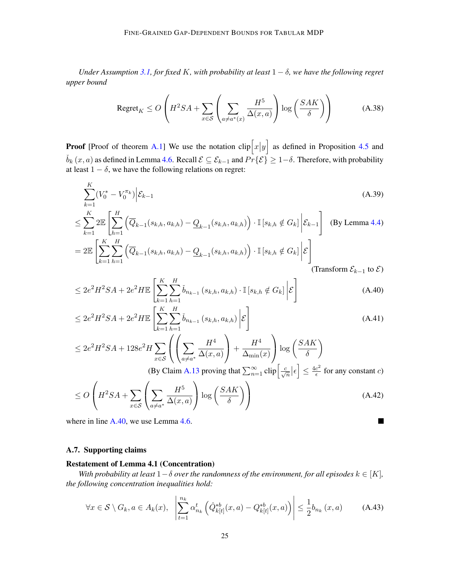*Under Assumption [3.1,](#page-6-1) for fixed* K*, with probability at least* 1 − δ*, we have the following regret upper bound*

$$
\text{Regret}_K \le O\left(H^2SA + \sum_{x \in \mathcal{S}} \left(\sum_{a \neq a^*(x)} \frac{H^5}{\Delta(x, a)}\right) \log\left(\frac{SAK}{\delta}\right)\right) \tag{A.38}
$$

**Proof** [Proof of theorem [A.1\]](#page-16-1) We use the notation  $\text{clip}\left[x|y\right]$  as defined in Proposition [4.5](#page-10-1) and  $\check{b}_k(x, a)$  as defined in Lemma [4.6.](#page-11-2) Recall  $\mathcal{E} \subseteq \mathcal{E}_{k-1}$  and  $\overline{Pr}\{\mathcal{E}\} \geq 1-\delta$ . Therefore, with probability at least  $1 - \delta$ , we have the following relations on regret:

$$
\sum_{k=1}^{K} (V_0^* - V_0^{\pi_k}) \Big| \mathcal{E}_{k-1} \tag{A.39}
$$

$$
\leq \sum_{k=1}^{K} 2\mathbb{E}\left[\sum_{h=1}^{H} \left(\overline{Q}_{k-1}(s_{k,h}, a_{k,h}) - \underline{Q}_{k-1}(s_{k,h}, a_{k,h})\right) \cdot \mathbb{I}\left[s_{k,h} \notin G_k\right] \middle| \mathcal{E}_{k-1}\right] \quad \text{(By Lemma 4.4)}
$$
\n
$$
= 2\mathbb{E}\left[\sum_{k=1}^{K} \sum_{h=1}^{H} \left(\overline{Q}_{k-1}(s_{k,h}, a_{k,h}) - \underline{Q}_{k-1}(s_{k,h}, a_{k,h})\right) \cdot \mathbb{I}\left[s_{k,h} \notin G_k\right] \middle| \mathcal{E}\right]
$$

<span id="page-24-0"></span>(Transform  $\mathcal{E}_{k-1}$  to  $\mathcal{E}$ )

<span id="page-24-1"></span>П

$$
\leq 2e^2 H^2 SA + 2e^2 H \mathbb{E} \left[ \sum_{k=1}^K \sum_{h=1}^H \check{b}_{n_{k-1}} \left( s_{k,h}, a_{k,h} \right) \cdot \mathbb{I} \left[ s_{k,h} \notin G_k \right] \Big| \mathcal{E} \right]
$$
\n(A.40)

$$
\leq 2e^2 H^2 SA + 2e^2 H \mathbb{E} \left[ \sum_{k=1}^K \sum_{h=1}^H \check{b}_{n_{k-1}}(s_{k,h}, a_{k,h}) \middle| \mathcal{E} \right]
$$
\n(A.41)

$$
\leq 2e^2H^2SA + 128e^2H\sum_{x\in\mathcal{S}}\left(\left(\sum_{a\neq a^*}\frac{H^4}{\Delta(x,a)}\right) + \frac{H^4}{\Delta_{\min}(x)}\right)\log\left(\frac{SAK}{\delta}\right)
$$
  
(By Claim A.13 proving that  $\sum_{n=1}^{\infty} \text{clip}\left[\frac{c}{\sqrt{n}}|\epsilon\right] \leq \frac{4c^2}{\epsilon}$  for any constant c)

$$
\leq O\left(H^2SA + \sum_{x \in \mathcal{S}} \left(\sum_{a \neq a^*} \frac{H^5}{\Delta(x, a)}\right) \log\left(\frac{SAK}{\delta}\right)\right) \tag{A.42}
$$

where in line [A.40,](#page-24-0) we use Lemma [4.6.](#page-11-2)

# A.7. Supporting claims

### Restatement of Lemma 4.1 (Concentration)

*With probability at least*  $1-\delta$  *over the randomness of the environment, for all episodes*  $k \in [K]$ *, the following concentration inequalities hold:*

$$
\forall x \in \mathcal{S} \setminus G_k, a \in A_k(x), \quad \left| \sum_{t=1}^{n_k} \alpha_{n_k}^t \left( \hat{Q}_{k[t]}^{*b}(x, a) - Q_{k[t]}^{*b}(x, a) \right) \right| \leq \frac{1}{2} b_{n_k}(x, a) \tag{A.43}
$$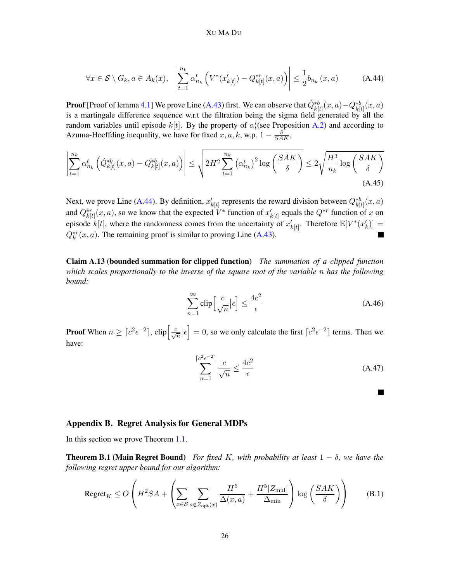#### <span id="page-25-2"></span>XU MA DU

$$
\forall x \in \mathcal{S} \setminus G_k, a \in A_k(x), \quad \left| \sum_{t=1}^{n_k} \alpha_{n_k}^t \left( V^*(x'_{k[t]}) - Q_{k[t]}^{*r}(x, a) \right) \right| \le \frac{1}{2} b_{n_k}(x, a) \tag{A.44}
$$

**Proof** [Proof of lemma [4.1\]](#page-9-3) We prove Line [\(A.43\)](#page-24-1) first. We can observe that  $\hat{Q}^{*b}_{k[t]}(x,a)-Q^{*b}_{k[t]}(x,a)$ is a martingale difference sequence w.r.t the filtration being the sigma field generated by all the random variables until episode  $k[t]$ . By the property of  $\alpha_t^i$  (see Proposition [A.2\)](#page-16-4) and according to Azuma-Hoeffding inequality, we have for fixed  $x, a, k$ , w.p.  $1 - \frac{\delta}{SAK}$ ,

$$
\left| \sum_{t=1}^{n_k} \alpha_{n_k}^t \left( \hat{Q}_{k[t]}^{*b}(x, a) - Q_{k[t]}^{*b}(x, a) \right) \right| \leq \sqrt{2H^2 \sum_{t=1}^{n_k} \left( \alpha_{n_k}^t \right)^2 \log \left( \frac{SAK}{\delta} \right)} \leq 2\sqrt{\frac{H^3}{n_k} \log \left( \frac{SAK}{\delta} \right)} \tag{A.45}
$$

Next, we prove Line [\(A.44\)](#page-25-2). By definition,  $x'_{k[t]}$  represents the reward division between  $Q_{k[t]}^{*b}(x, a)$ and  $Q_{k[t]}^{*r}(x, a)$ , so we know that the expected  $V^*$  function of  $x'_{k[t]}$  equals the  $Q^{*r}$  function of x on episode  $k[t]$ , where the randomness comes from the uncertainty of  $x'_{k[t]}$ . Therefore  $\mathbb{E}[V^*(x'_{k})] =$  $Q_k^{*r}(x, a)$ . The remaining proof is similar to proving Line [\(A.43\)](#page-24-1).

<span id="page-25-1"></span>Claim A.13 (bounded summation for clipped function) *The summation of a clipped function which scales proportionally to the inverse of the square root of the variable* n *has the following bound:*

$$
\sum_{n=1}^{\infty} \text{clip}\left[\frac{c}{\sqrt{n}} \middle| \epsilon\right] \le \frac{4c^2}{\epsilon} \tag{A.46}
$$

**Proof** When  $n \ge \lceil c^2 \epsilon^{-2} \rceil$ ,  $\text{clip}\left[\frac{c}{\sqrt{n}}|\epsilon\right] = 0$ , so we only calculate the first  $\lceil c^2 \epsilon^{-2} \rceil$  terms. Then we have:

$$
\sum_{n=1}^{\lceil c^2 \epsilon^{-2} \rceil} \frac{c}{\sqrt{n}} \le \frac{4c^2}{\epsilon}
$$
 (A.47)

a s

# <span id="page-25-0"></span>Appendix B. Regret Analysis for General MDPs

<span id="page-25-3"></span>In this section we prove Theorem [1.1.](#page-1-1)

**Theorem B.1 (Main Regret Bound)** *For fixed K, with probability at least*  $1 - \delta$ *, we have the following regret upper bound for our algorithm:*

$$
\text{Regret}_K \le O\left(H^2SA + \left(\sum_{x \in S} \sum_{a \notin Z_{\text{opt}}(x)} \frac{H^5}{\Delta(x, a)} + \frac{H^5|Z_{\text{mul}}|}{\Delta_{\text{min}}}\right) \log\left(\frac{SAK}{\delta}\right)\right) \tag{B.1}
$$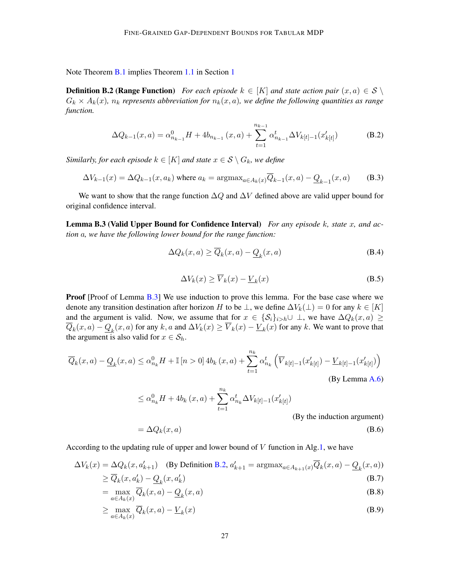<span id="page-26-1"></span>Note Theorem [B.1](#page-25-3) implies Theorem [1.1](#page-1-1) in Section [1](#page-0-2)

**Definition B.2 (Range Function)** *For each episode*  $k \in [K]$  *and state action pair*  $(x, a) \in S \setminus \mathbb{R}$  $G_k \times A_k(x)$ ,  $n_k$  represents abbreviation for  $n_k(x, a)$ , we define the following quantities as range *function.*

$$
\Delta Q_{k-1}(x,a) = \alpha_{n_{k-1}}^0 H + 4b_{n_{k-1}}(x,a) + \sum_{t=1}^{n_{k-1}} \alpha_{n_{k-1}}^t \Delta V_{k[t]-1}(x'_{k[t]})
$$
(B.2)

*Similarly, for each episode*  $k \in [K]$  *and state*  $x \in S \setminus G_k$ *, we define* 

$$
\Delta V_{k-1}(x) = \Delta Q_{k-1}(x, a_k) \text{ where } a_k = \operatorname{argmax}_{a \in A_k(x)} \overline{Q}_{k-1}(x, a) - \underline{Q}_{k-1}(x, a) \tag{B.3}
$$

We want to show that the range function  $\Delta Q$  and  $\Delta V$  defined above are valid upper bound for original confidence interval.

<span id="page-26-0"></span>Lemma B.3 (Valid Upper Bound for Confidence Interval) *For any episode* k*, state* x*, and action* a*, we have the following lower bound for the range function:*

$$
\Delta Q_k(x, a) \ge \overline{Q}_k(x, a) - \underline{Q}_k(x, a)
$$
\n(B.4)

$$
\Delta V_k(x) \ge \overline{V}_k(x) - \underline{V}_k(x) \tag{B.5}
$$

Proof [Proof of Lemma [B.3\]](#page-26-0) We use induction to prove this lemma. For the base case where we denote any transition destination after horizon H to be  $\perp$ , we define  $\Delta V_k(\perp) = 0$  for any  $k \in [K]$ and the argument is valid. Now, we assume that for  $x \in \{\mathcal{S}_i\}_{i>h}\cup \bot$ , we have  $\Delta Q_k(x, a) \geq$  $Q_k(x, a) - Q_k(x, a)$  for any k, a and  $\Delta V_k(x) \ge V_k(x) - V_k(x)$  for any k. We want to prove that the argument is also valid for  $x \in S_h$ .

$$
\overline{Q}_k(x, a) - \underline{Q}_k(x, a) \le \alpha_{n_k}^0 H + \mathbb{I} \left[ n > 0 \right] 4b_k(x, a) + \sum_{t=1}^{n_k} \alpha_{n_k}^t \left( \overline{V}_{k[t]-1}(x'_{k[t]}) - \underline{V}_{k[t]-1}(x'_{k[t]}) \right)
$$
\n(By Lemma A.6)

$$
\leq \alpha_{n_k}^0 H + 4b_k(x, a) + \sum_{t=1}^{n_k} \alpha_{n_k}^t \Delta V_{k[t]-1}(x'_{k[t]})
$$
  
(By the induction argument)  

$$
= \Delta Q_k(x, a)
$$
 (B.6)

According to the updating rule of upper and lower bound of  $V$  function in Alg[.1,](#page-7-0) we have

$$
\Delta V_k(x) = \Delta Q_k(x, a'_{k+1}) \quad \text{(By Definition B.2, } a'_{k+1} = \operatorname{argmax}_{a \in A_{k+1}(x)} \overline{Q}_k(x, a) - \underline{Q}_k(x, a))
$$
\n
$$
\ge \overline{Q}_k(x, a'_k) - \underline{Q}_k(x, a'_k) \tag{B.7}
$$

$$
= \max_{a \in A_k(x)} \overline{Q}_k(x, a) - \underline{Q}_k(x, a)
$$
\n(B.8)

$$
\geq \max_{a \in A_k(x)} \overline{Q}_k(x, a) - \underline{V}_k(x) \tag{B.9}
$$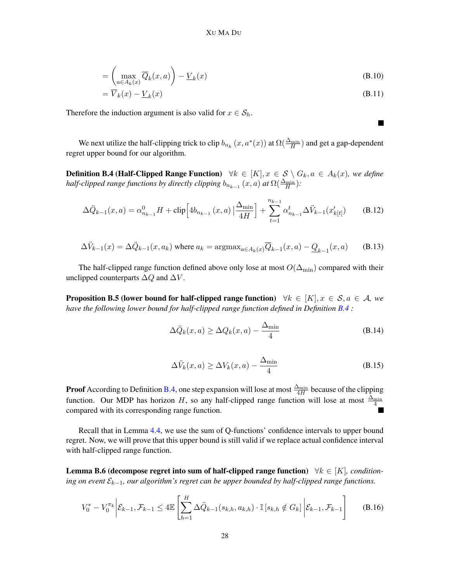$$
= \left(\max_{a \in A_k(x)} \overline{Q}_k(x, a)\right) - \underline{V}_k(x) \tag{B.10}
$$

$$
=\overline{V}_k(x) - \underline{V}_k(x) \tag{B.11}
$$

 $\blacksquare$ 

Therefore the induction argument is also valid for  $x \in S_h$ .

We next utilize the half-clipping trick to clip  $b_{n_k}(x, a^*(x))$  at  $\Omega(\frac{\Delta_{\min}}{H})$  and get a gap-dependent regret upper bound for our algorithm.

<span id="page-27-0"></span>**Definition B.4 (Half-Clipped Range Function)**  $\forall k \in [K], x \in S \setminus G_k, a \in A_k(x)$ , we define *half-clipped range functions by directly clipping*  $b_{n_{k-1}}(x, a)$  *at*  $\Omega(\frac{\Delta_{\min}}{H})$ :

$$
\Delta \ddot{Q}_{k-1}(x,a) = \alpha_{n_{k-1}}^0 H + \text{clip} \Big[ 4b_{n_{k-1}}(x,a) \Big| \frac{\Delta_{\min}}{4H} \Big] + \sum_{t=1}^{n_{k-1}} \alpha_{n_{k-1}}^t \Delta \ddot{V}_{k-1}(x'_{k[t]}) \tag{B.12}
$$

$$
\Delta \ddot{V}_{k-1}(x) = \Delta \ddot{Q}_{k-1}(x, a_k) \text{ where } a_k = \text{argmax}_{a \in A_k(x)} \overline{Q}_{k-1}(x, a) - \underline{Q}_{k-1}(x, a) \qquad (B.13)
$$

The half-clipped range function defined above only lose at most  $O(\Delta_{\min})$  compared with their unclipped counterparts  $\Delta Q$  and  $\Delta V$ .

<span id="page-27-1"></span>**Proposition B.5 (lower bound for half-clipped range function)**  $\forall k \in [K], x \in S, a \in \mathcal{A}$ , we *have the following lower bound for half-clipped range function defined in Definition [B.4](#page-27-0) :*

$$
\Delta \ddot{Q}_k(x, a) \ge \Delta Q_k(x, a) - \frac{\Delta_{\min}}{4}
$$
\n(B.14)

$$
\Delta \ddot{V}_k(x, a) \ge \Delta V_k(x, a) - \frac{\Delta_{\min}}{4}
$$
\n(B.15)

**Proof** According to Definition [B.4,](#page-27-0) one step expansion will lose at most  $\frac{\Delta_{\min}}{4H}$  because of the clipping function. Our MDP has horizon H, so any half-clipped range function will lose at most  $\frac{\Delta_{\min}}{4}$ compared with its corresponding range function.

Recall that in Lemma [4.4,](#page-10-0) we use the sum of Q-functions' confidence intervals to upper bound regret. Now, we will prove that this upper bound is still valid if we replace actual confidence interval with half-clipped range function.

<span id="page-27-2"></span>Lemma B.6 (decompose regret into sum of half-clipped range function) ∀k ∈ [K]*, conditioning on event*  $\mathcal{E}_{k-1}$ , our algorithm's regret can be upper bounded by half-clipped range functions.

$$
V_0^* - V_0^{\pi_k} \bigg| \mathcal{E}_{k-1}, \mathcal{F}_{k-1} \le 4 \mathbb{E} \left[ \sum_{h=1}^H \Delta \ddot{Q}_{k-1}(s_{k,h}, a_{k,h}) \cdot \mathbb{I} \left[ s_{k,h} \notin G_k \right] \bigg| \mathcal{E}_{k-1}, \mathcal{F}_{k-1} \right] \tag{B.16}
$$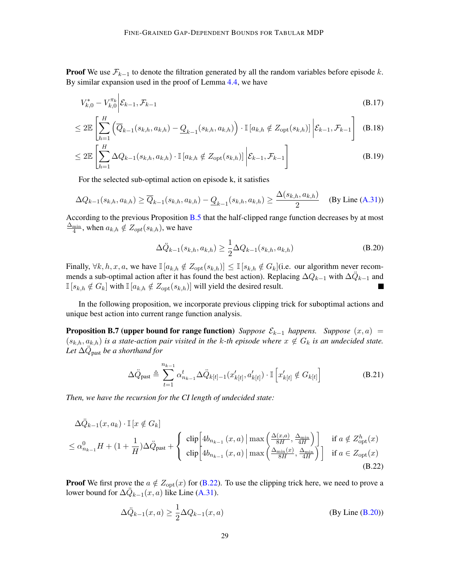**Proof** We use  $\mathcal{F}_{k-1}$  to denote the filtration generated by all the random variables before episode k. By similar expansion used in the proof of Lemma [4.4,](#page-10-0) we have

$$
V_{k,0}^* - V_{k,0}^{\pi_k} \bigg| \mathcal{E}_{k-1}, \mathcal{F}_{k-1} \tag{B.17}
$$

$$
\leq 2\mathbb{E}\left[\sum_{h=1}^{H}\left(\overline{Q}_{k-1}(s_{k,h},a_{k,h})-\underline{Q}_{k-1}(s_{k,h},a_{k,h})\right)\cdot\mathbb{I}\left[a_{k,h}\notin Z_{\text{opt}}(s_{k,h})\right]\bigg|\mathcal{E}_{k-1},\mathcal{F}_{k-1}\right] \tag{B.18}
$$

$$
\leq 2\mathbb{E}\left[\sum_{h=1}^{H} \Delta Q_{k-1}(s_{k,h}, a_{k,h}) \cdot \mathbb{I}\left[a_{k,h} \notin Z_{\text{opt}}(s_{k,h})\right]\bigg|\mathcal{E}_{k-1}, \mathcal{F}_{k-1}\right]
$$
(B.19)

For the selected sub-optimal action on episode k, it satisfies

$$
\Delta Q_{k-1}(s_{k,h}, a_{k,h}) \ge \overline{Q}_{k-1}(s_{k,h}, a_{k,h}) - \underline{Q}_{k-1}(s_{k,h}, a_{k,h}) \ge \frac{\Delta(s_{k,h}, a_{k,h})}{2} \quad \text{(By Line (A.31))}
$$

According to the previous Proposition [B.5](#page-27-1) that the half-clipped range function decreases by at most  $\frac{\Delta_{\min}}{4}$ , when  $a_{k,h} \notin Z_{opt}(s_{k,h})$ , we have

<span id="page-28-1"></span>
$$
\Delta \ddot{Q}_{k-1}(s_{k,h}, a_{k,h}) \ge \frac{1}{2} \Delta Q_{k-1}(s_{k,h}, a_{k,h})
$$
\n(B.20)

Finally,  $\forall k, h, x, a$ , we have  $\mathbb{I}[a_{k,h} \notin Z_{\text{opt}}(s_{k,h})] \leq \mathbb{I}[s_{k,h} \notin G_k]$  (i.e. our algorithm never recommends a sub-optimal action after it has found the best action). Replacing  $\Delta Q_{k-1}$  with  $\Delta \ddot{Q}_{k-1}$  and  $\mathbb{I}[s_{k,h} \notin G_k]$  with  $\mathbb{I}[a_{k,h} \notin Z_{\text{opt}}(s_{k,h})]$  will yield the desired result.

In the following proposition, we incorporate previous clipping trick for suboptimal actions and unique best action into current range function analysis.

**Proposition B.7 (upper bound for range function)** *Suppose*  $\mathcal{E}_{k-1}$  *happens. Suppose*  $(x, a)$  =  $(s_{k,h}, a_{k,h})$  *is a state-action pair visited in the k-th episode where*  $x \notin G_k$  *is an undecided state. Let* ∆Q¨ past *be a shorthand for*

$$
\Delta \ddot{Q}_{\text{past}} \triangleq \sum_{t=1}^{n_{k-1}} \alpha_{n_{k-1}}^t \Delta \ddot{Q}_{k[t]-1}(x'_{k[t]}, a'_{k[t]}) \cdot \mathbb{I}\left[x'_{k[t]} \notin G_{k[t]}\right]
$$
\n(B.21)

*Then, we have the recursion for the CI length of undecided state:*

$$
\Delta \ddot{Q}_{k-1}(x, a_k) \cdot \mathbb{I}\left[x \notin G_k\right]
$$
\n
$$
\leq \alpha_{n_{k-1}}^0 H + \left(1 + \frac{1}{H}\right) \Delta \ddot{Q}_{\text{past}} + \begin{cases} \n\text{clip}\left[4b_{n_{k-1}}(x, a) \mid \max\left(\frac{\Delta(x, a)}{8H}, \frac{\Delta_{\min}}{4H}\right)\right] & \text{if } a \notin Z_{\text{opt}}^h(x) \\ \n\text{clip}\left[4b_{n_{k-1}}(x, a) \mid \max\left(\frac{\Delta_{\min}(x)}{8H}, \frac{\Delta_{\min}}{4H}\right)\right] & \text{if } a \in Z_{\text{opt}}(x) \tag{B.22}
$$

**Proof** We first prove the  $a \notin Z_{opt}(x)$  for [\(B.22\)](#page-28-0). To use the clipping trick here, we need to prove a lower bound for  $\Delta \ddot{Q}_{k-1}(x, a)$  like Line [\(A.31\)](#page-22-0).

<span id="page-28-0"></span>
$$
\Delta \ddot{Q}_{k-1}(x, a) \ge \frac{1}{2} \Delta Q_{k-1}(x, a)
$$
 (By Line (B.20))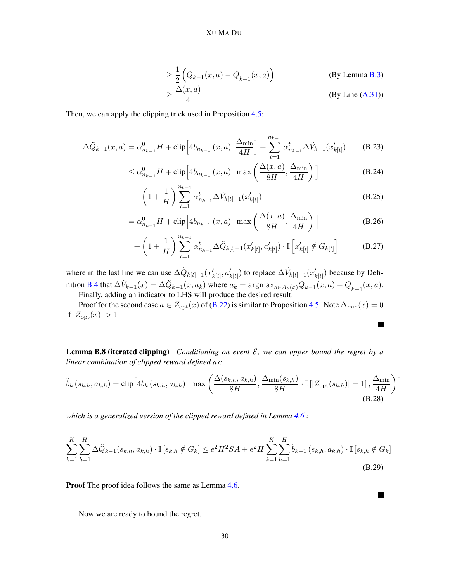$$
\geq \frac{1}{2} \left( \overline{Q}_{k-1}(x, a) - \underline{Q}_{k-1}(x, a) \right)
$$
 (By Lemma B.3)  

$$
\geq \frac{\Delta(x, a)}{4}
$$
 (By Line (A.31))

Then, we can apply the clipping trick used in Proposition [4.5:](#page-10-1)

$$
\Delta \ddot{Q}_{k-1}(x,a) = \alpha_{n_{k-1}}^0 H + \text{clip} \left[ 4b_{n_{k-1}}(x,a) \left| \frac{\Delta_{\min}}{4H} \right] + \sum_{t=1}^{n_{k-1}} \alpha_{n_{k-1}}^t \Delta \ddot{V}_{k-1}(x'_{k[t]}) \right]
$$
(B.23)

$$
\leq \alpha_{n_{k-1}}^0 H + \text{clip}\left[4b_{n_{k-1}}\left(x, a\right) \mid \max\left(\frac{\Delta(x, a)}{8H}, \frac{\Delta_{\min}}{4H}\right)\right]
$$
\n(B.24)

+ 
$$
\left(1+\frac{1}{H}\right) \sum_{t=1}^{n_{k-1}} \alpha_{n_{k-1}}^{t} \Delta \ddot{V}_{k[t]-1}(x'_{k[t]})
$$
 (B.25)

$$
= \alpha_{n_{k-1}}^0 H + \text{clip}\left[4b_{n_{k-1}}\left(x, a\right) \mid \max\left(\frac{\Delta(x, a)}{8H}, \frac{\Delta_{\min}}{4H}\right)\right]
$$
(B.26)

$$
+\left(1+\frac{1}{H}\right) \sum_{t=1}^{n_{k-1}} \alpha_{n_{k-1}}^{t} \Delta \ddot{Q}_{k[t]-1}(x'_{k[t]}, a'_{k[t]}) \cdot \mathbb{I}\left[x'_{k[t]} \notin G_{k[t]}\right]
$$
(B.27)

 $\blacksquare$ 

**Talent** 

where in the last line we can use  $\Delta \ddot{Q}_{k[t]-1}(x'_{k[t]}, a'_{k[t]})$  to replace  $\Delta \ddot{V}_{k[t]-1}(x'_{k[t]})$  because by Defi-nition [B.4](#page-27-0) that  $\Delta V_{k-1}(x) = \Delta \ddot{Q}_{k-1}(x, a_k)$  where  $a_k = \text{argmax}_{a \in A_k(x)} \overline{Q}_{k-1}(x, a) - \underline{Q}_{k-1}(x, a)$ . Finally, adding an indicator to LHS will produce the desired result.

Proof for the second case  $a \in Z_{\text{opt}}(x)$  of [\(B.22\)](#page-28-0) is similar to Proposition [4.5.](#page-10-1) Note  $\Delta_{\min}(x) = 0$ if  $|Z_{\text{opt}}(x)| > 1$ 

<span id="page-29-0"></span>**Lemma B.8 (iterated clipping)** *Conditioning on event*  $\mathcal{E}$ *, we can upper bound the regret by a linear combination of clipped reward defined as:*

$$
\ddot{b}_{k}\left(s_{k,h}, a_{k,h}\right) = \text{clip}\left[4b_{k}\left(s_{k,h}, a_{k,h}\right) \mid \max\left(\frac{\Delta(s_{k,h}, a_{k,h})}{8H}, \frac{\Delta_{\min}(s_{k,h})}{8H} \cdot \mathbb{I}\left[\left|Z_{\text{opt}}(s_{k,h})\right|=1\right], \frac{\Delta_{\min}}{4H}\right)\right]
$$
\n(B.28)

*which is a generalized version of the clipped reward defined in Lemma [4.6](#page-11-2) :*

$$
\sum_{k=1}^{K} \sum_{h=1}^{H} \Delta \ddot{Q}_{k-1}(s_{k,h}, a_{k,h}) \cdot \mathbb{I}[s_{k,h} \notin G_k] \le e^2 H^2 SA + e^2 H \sum_{k=1}^{K} \sum_{h=1}^{H} \ddot{b}_{k-1}(s_{k,h}, a_{k,h}) \cdot \mathbb{I}[s_{k,h} \notin G_k]
$$
\n(B.29)

Proof The proof idea follows the same as Lemma [4.6.](#page-11-2)

Now we are ready to bound the regret.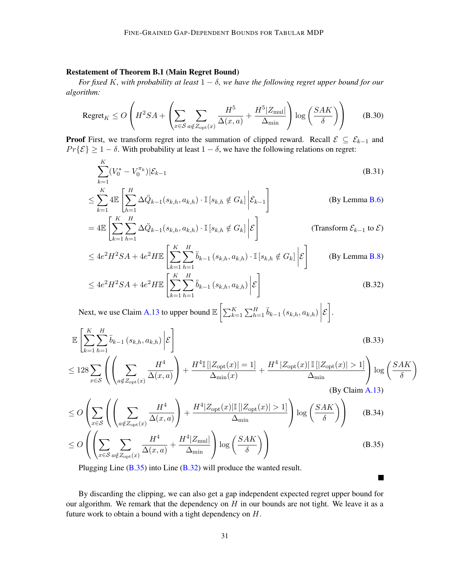# Restatement of Theorem B.1 (Main Regret Bound)

*For fixed* K*, with probability at least* 1 − δ*, we have the following regret upper bound for our algorithm:*

$$
\text{Regret}_{K} \le O\left(H^{2}SA + \left(\sum_{x \in S} \sum_{a \notin Z_{\text{opt}}(x)} \frac{H^{5}}{\Delta(x, a)} + \frac{H^{5}|Z_{\text{mul}}}{\Delta_{\text{min}}}\right) \log\left(\frac{SAK}{\delta}\right)\right) \tag{B.30}
$$

**Proof** First, we transform regret into the summation of clipped reward. Recall  $\mathcal{E} \subseteq \mathcal{E}_{k-1}$  and  $Pr{E} \ge 1 - \delta$ . With probability at least  $1 - \delta$ , we have the following relations on regret:

$$
\sum_{k=1}^{K} (V_0^* - V_0^{\pi_k}) |\mathcal{E}_{k-1}
$$
\n(B.31)

$$
\leq \sum_{k=1}^{K} 4\mathbb{E}\left[\sum_{h=1}^{H} \Delta \ddot{Q}_{k-1}(s_{k,h}, a_{k,h}) \cdot \mathbb{I}\left[s_{k,h} \notin G_k\right] \bigg| \mathcal{E}_{k-1}\right]
$$
(By Lemma B.6)

$$
= 4\mathbb{E}\left[\sum_{k=1}^{K} \sum_{h=1}^{H} \Delta \ddot{Q}_{k-1}(s_{k,h}, a_{k,h}) \cdot \mathbb{I}\left[s_{k,h} \notin G_k\right] \bigg| \mathcal{E}\right]
$$
 (Transform  $\mathcal{E}_{k-1}$  to  $\mathcal{E}$ )

$$
\leq 4e^2H^2SA + 4e^2H\mathbb{E}\left[\sum_{k=1}^K\sum_{h=1}^H\ddot{b}_{k-1}\left(s_{k,h},a_{k,h}\right)\cdot\mathbb{I}\left[s_{k,h}\notin G_k\right]\bigg|\mathcal{E}\right]
$$
 (By Lemma B.8)

$$
\leq 4e^2H^2SA + 4e^2H\mathbb{E}\left[\sum_{k=1}^K \sum_{h=1}^H \ddot{b}_{k-1}\left(s_{k,h}, a_{k,h}\right) \bigg|\mathcal{E}\right]
$$
(B.32)

Next, we use Claim [A.13](#page-25-1) to upper bound  $\mathbb{E}\left[\sum_{k=1}^{K}\sum_{h=1}^{H} \ddot{b}_{k-1} (s_{k,h}, a_{k,h})\right]$  $\varepsilon$ .

$$
\mathbb{E}\left[\sum_{k=1}^{K}\sum_{h=1}^{H}\ddot{b}_{k-1}\left(s_{k,h},a_{k,h}\right)\bigg|\mathcal{E}\right]
$$
\n
$$
\leq 128\sum_{x\in\mathcal{S}}\left(\left(\sum_{a\notin Z_{\text{opt}}(x)}\frac{H^4}{\Delta(x,a)}\right)+\frac{H^4\mathbb{I}\left[|Z_{\text{opt}}(x)|=1\right]}{\Delta_{\min}(x)}+\frac{H^4\left|Z_{\text{opt}}(x)\right|\mathbb{I}\left[|Z_{\text{opt}}(x)|>1\right]}{\Delta_{\min}}\right)\log\left(\frac{SAK}{\delta}\right)
$$
\n(By Claim A.13)

<span id="page-30-3"></span><span id="page-30-2"></span> $\setminus$ 

<span id="page-30-1"></span> $\blacksquare$ 

$$
\leq O\left(\sum_{x\in\mathcal{S}}\left(\left(\sum_{a\notin Z_{\text{opt}}(x)}\frac{H^4}{\Delta(x,a)}\right) + \frac{H^4|Z_{\text{opt}}(x)|\mathbb{I}\left[|Z_{\text{opt}}(x)|>1\right]}{\Delta_{\min}}\right)\log\left(\frac{SAK}{\delta}\right)\right) \tag{B.34}
$$
\n
$$
\leq O\left(\left(\sum_{x\in\mathcal{S}}\sum_{a\notin Z_{\text{opt}}(x)}\frac{H^4}{\Delta(x,a)} + \frac{H^4|Z_{\text{mul}}|}{\Delta_{\min}}\right)\log\left(\frac{SAK}{\delta}\right)\right) \tag{B.35}
$$

Plugging Line [\(B.35\)](#page-30-1) into Line [\(B.32\)](#page-30-2) will produce the wanted result.

<span id="page-30-0"></span>By discarding the clipping, we can also get a gap independent expected regret upper bound for our algorithm. We remark that the dependency on  $H$  in our bounds are not tight. We leave it as a future work to obtain a bound with a tight dependency on H.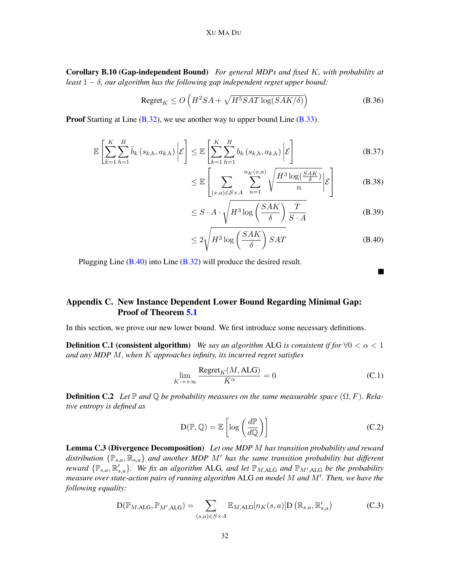#### XU MA DU

Corollary B.10 (Gap-independent Bound) *For general MDPs and fixed* K*, with probability at least* 1 − δ*, our algorithm has the following gap independent regret upper bound:*

$$
\text{Regret}_K \le O\left(H^2 SA + \sqrt{H^5 SAT \log(SAK/\delta)}\right) \tag{B.36}
$$

**Proof** Starting at Line  $(B.32)$ , we use another way to upper bound Line  $(B.33)$ .

$$
\mathbb{E}\left[\sum_{k=1}^{K}\sum_{h=1}^{H}\ddot{b}_{k}\left(s_{k,h},a_{k,h}\right)\bigg|\mathcal{E}\right] \leq \mathbb{E}\left[\sum_{k=1}^{K}\sum_{h=1}^{H}b_{k}\left(s_{k,h},a_{k,h}\right)\bigg|\mathcal{E}\right]
$$
\n(B.37)

$$
\leq \mathbb{E}\left[\sum_{(x,a)\in\mathcal{S}\times A} \sum_{n=1}^{n_K(x,a)} \sqrt{\frac{H^3\log(\frac{\mathcal{S}AK}{\delta})}{n}}\bigg|\mathcal{E}\right] \tag{B.38}
$$

$$
\leq S \cdot A \cdot \sqrt{H^3 \log \left(\frac{SAK}{\delta}\right) \frac{T}{S \cdot A}}
$$
 (B.39)

$$
\leq 2\sqrt{H^3 \log\left(\frac{SAK}{\delta}\right)SAT} \tag{B.40}
$$

Plugging Line [\(B.40\)](#page-31-1) into Line [\(B.32\)](#page-30-2) will produce the desired result.

# <span id="page-31-0"></span>Appendix C. New Instance Dependent Lower Bound Regarding Minimal Gap: Proof of Theorem [5.1](#page-11-1)

In this section, we prove our new lower bound. We first introduce some necessary definitions.

**Definition C.1 (consistent algorithm)** *We say an algorithm* ALG *is consistent if for*  $\forall 0 < \alpha < 1$ *and any MDP* M*, when* K *approaches infinity, its incurred regret satisfies*

$$
\lim_{K \to +\infty} \frac{\text{Regret}_K(M, \text{ALG})}{K^{\alpha}} = 0
$$
\n(C.1)

<span id="page-31-3"></span>**Definition C.2** Let  $\mathbb P$  and  $\mathbb Q$  be probability measures on the same measurable space  $(\Omega, F)$ . Rela*tive entropy is defined as*

$$
D(\mathbb{P}, \mathbb{Q}) = \mathbb{E}\left[\log\left(\frac{d\mathbb{P}}{d\mathbb{Q}}\right)\right]
$$
 (C.2)

<span id="page-31-2"></span>Lemma C.3 (Divergence Decomposition) *Let one MDP* M *has transition probability and reward distribution*  $\{\mathbb{P}_{s,a}, \mathbb{R}_{s,a}\}$  *and another MDP M' has the same transition probability but different reward*  $\{\mathbb{P}_{s,a}, \mathbb{R}'_{s,a}\}$ . We fix an algorithm ALG, and let  $\mathbb{P}_{M,\text{ALG}}$  and  $\mathbb{P}_{M',\text{ALG}}$  be the probability *measure over state-action pairs of running algorithm* ALG *on model* M *and* M<sup>0</sup> *. Then, we have the following equality:*

$$
D(\mathbb{P}_{M,\text{ALG}}, \mathbb{P}_{M',\text{ALG}}) = \sum_{(s,a)\in S\times A} \mathbb{E}_{M,\text{ALG}}[n_K(s,a)] D\left(\mathbb{R}_{s,a}, \mathbb{R}'_{s,a}\right)
$$
(C.3)

<span id="page-31-1"></span> $\blacksquare$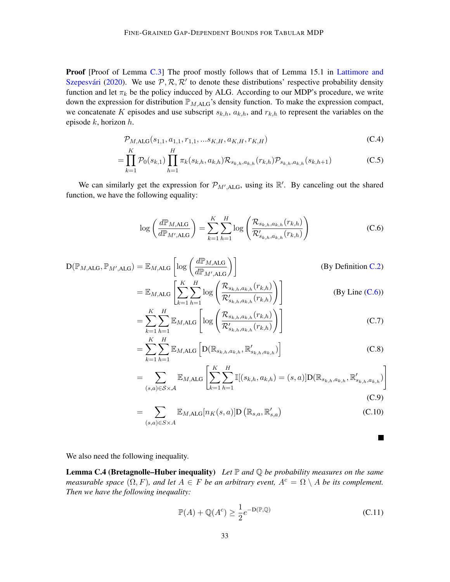Proof [Proof of Lemma [C.3\]](#page-31-2) The proof mostly follows that of Lemma 15.1 in [Lattimore and](#page-14-2) Szepesvári [\(2020\)](#page-14-2). We use  $P, R, R'$  to denote these distributions' respective probability density function and let  $\pi_k$  be the policy inducced by ALG. According to our MDP's procedure, we write down the expression for distribution  $\mathbb{P}_{M,\mathrm{ALG}}$ 's density function. To make the expression compact, we concatenate K episodes and use subscript  $s_{k,h}$ ,  $a_{k,h}$ , and  $r_{k,h}$  to represent the variables on the episode  $k$ , horizon  $h$ .

$$
\mathcal{P}_{M,\text{ALG}}(s_{1,1}, a_{1,1}, r_{1,1}, \ldots s_{K,H}, a_{K,H}, r_{K,H}) \tag{C.4}
$$

$$
= \prod_{k=1}^{K} \mathcal{P}_0(s_{k,1}) \prod_{h=1}^{H} \pi_k(s_{k,h}, a_{k,h}) \mathcal{R}_{s_{k,h}, a_{k,h}}(r_{k,h}) \mathcal{P}_{s_{k,h}, a_{k,h}}(s_{k,h+1})
$$
(C.5)

We can similarly get the expression for  $\mathcal{P}_{M',ALG}$ , using its  $\mathbb{R}'$ . By canceling out the shared function, we have the following equality:

$$
\log\left(\frac{d\mathbb{P}_{M,\text{ALG}}}{d\mathbb{P}_{M',\text{ALG}}}\right) = \sum_{k=1}^{K} \sum_{h=1}^{H} \log\left(\frac{\mathcal{R}_{s_{k,h},a_{k,h}}(r_{k,h})}{\mathcal{R}'_{s_{k,h},a_{k,h}}(r_{k,h})}\right)
$$
(C.6)

$$
D(\mathbb{P}_{M,ALG}, \mathbb{P}_{M',ALG}) = \mathbb{E}_{M,ALG} \left[ \log \left( \frac{d\mathbb{P}_{M,ALG}}{d\mathbb{P}_{M',ALG}} \right) \right]
$$
\n(By Definition C.2)\n
$$
= \mathbb{E}_{M,ALG} \left[ \sum_{k=1}^{K} \sum_{h=1}^{H} \log \left( \frac{\mathcal{R}_{s_{k,h},a_{k,h}}(r_{k,h})}{\mathcal{R}'_{s_{k,h},a_{k,h}}(r_{k,h})} \right) \right]
$$
\n(By Line (C.6))

$$
= \sum_{k=1}^{K} \sum_{h=1}^{H} \mathbb{E}_{M, \text{ALG}} \left[ \log \left( \frac{\mathcal{R}_{s_{k,h}, a_{k,h}}(r_{k,h})}{\mathcal{R}'_{s_{k,h}, a_{k,h}}(r_{k,h})} \right) \right]
$$
(C.7)

$$
= \sum_{k=1}^{K} \sum_{h=1}^{H} \mathbb{E}_{M, \text{ALG}} \left[ \mathcal{D}(\mathbb{R}_{s_{k,h}, a_{k,h}}, \mathbb{R}'_{s_{k,h}, a_{k,h}}) \right]
$$
(C.8)

$$
= \sum_{(s,a)\in\mathcal{S}\times\mathcal{A}} \mathbb{E}_{M,\text{ALG}}\left[\sum_{k=1}^K \sum_{h=1}^H \mathbb{I}[(s_{k,h}, a_{k,h}) = (s,a)] \mathcal{D}(\mathbb{R}_{s_{k,h}, a_{k,h}}, \mathbb{R}'_{s_{k,h}, a_{k,h}})\right]
$$
(C.9)

$$
= \sum_{(s,a)\in S\times A} \mathbb{E}_{M,\text{ALG}}[n_K(s,a)] \mathbf{D}\left(\mathbb{R}_{s,a}, \mathbb{R}'_{s,a}\right) \tag{C.10}
$$

We also need the following inequality.

Lemma C.4 (Bretagnolle–Huber inequality) *Let* P *and* Q *be probability measures on the same measurable space*  $(\Omega, F)$ *, and let*  $A \in F$  *be an arbitrary event,*  $A^c = \Omega \setminus A$  *be its complement. Then we have the following inequality:*

<span id="page-32-1"></span>
$$
\mathbb{P}(A) + \mathbb{Q}(A^c) \ge \frac{1}{2} e^{-D(\mathbb{P}, \mathbb{Q})}
$$
 (C.11)

<span id="page-32-0"></span>**In the Second**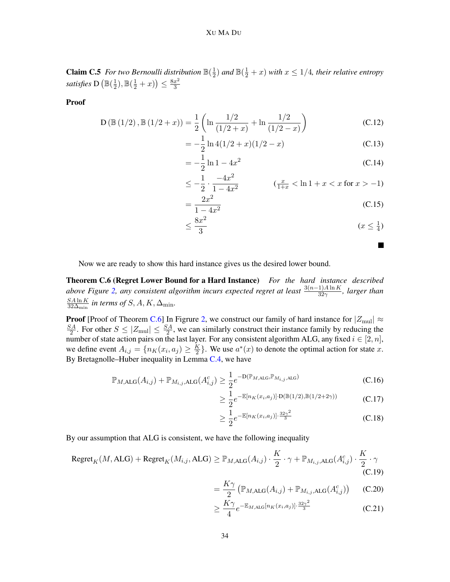**Claim C.5** For two Bernoulli distribution  $\mathbb{B}(\frac{1}{2})$  $\frac{1}{2}$ ) and  $\mathbb{B}(\frac{1}{2}+x)$  with  $x \leq 1/4$ , their relative entropy *satisfies* D  $(\mathbb{B}(\frac{1}{2}))$  $(\frac{1}{2}), \mathbb{B}(\frac{1}{2}+x)) \leq \frac{8x^2}{3}$ 3

Proof

$$
D\left(\mathbb{B}\left(1/2\right),\mathbb{B}\left(1/2+x\right)\right) = \frac{1}{2}\left(\ln\frac{1/2}{\left(1/2+x\right)} + \ln\frac{1/2}{\left(1/2-x\right)}\right) \tag{C.12}
$$

$$
= -\frac{1}{2}\ln 4(1/2+x)(1/2-x)
$$
 (C.13)

$$
= -\frac{1}{2}\ln 1 - 4x^2
$$
 (C.14)

$$
\leq -\frac{1}{2} \cdot \frac{-4x^2}{1-4x^2} \qquad (\frac{x}{1+x} < \ln 1 + x < x \text{ for } x > -1)
$$

$$
=\frac{2x^2}{1-4x^2}
$$
 (C.15)

$$
\leq \frac{8x^2}{3} \qquad \qquad (x \leq \frac{1}{4})
$$

<span id="page-33-0"></span>П

Now we are ready to show this hard instance gives us the desired lower bound.

Theorem C.6 (Regret Lower Bound for a Hard Instance) *For the hard instance described above Figure [2,](#page-12-0) any consistent algorithm incurs expected regret at least*  $\frac{3(n-1)A\ln K}{32\gamma}$ , *larger than*  $SA \ln K$  $\frac{S A \ln K}{32 \Delta_{\min}}$  in terms of S, A, K,  $\Delta_{\min}$ .

**Proof** [Proof of Theorem [C.6\]](#page-33-0) In Figrure [2,](#page-12-0) we construct our family of hard instance for  $|Z_{\text{mul}}| \approx$  $SA$  $\frac{S_A}{2}$ . For other  $S \leq |Z_{\text{mul}}| \leq \frac{SA}{2}$ , we can similarly construct their instance family by reducing the number of state action pairs on the last layer. For any consistent algorithm ALG, any fixed  $i \in [2, n]$ , we define event  $A_{i,j} = \{n_K(x_i, a_j) \geq \frac{K}{2}\}$  $\frac{K}{2}$ . We use  $a^*(x)$  to denote the optimal action for state x. By Bretagnolle–Huber inequality in Lemma [C.4,](#page-32-1) we have

$$
\mathbb{P}_{M,\text{ALG}}(A_{i,j}) + \mathbb{P}_{M_{i,j},\text{ALG}}(A_{i,j}^c) \ge \frac{1}{2} e^{-D(\mathbb{P}_{M,\text{ALG}}, \mathbb{P}_{M_{i,j},\text{ALG}})} \tag{C.16}
$$

$$
\geq \frac{1}{2} e^{-\mathbb{E}[n_K(x_i, a_j)] \cdot \mathcal{D}(\mathbb{B}(1/2), \mathbb{B}(1/2 + 2\gamma))}
$$
 (C.17)

$$
\geq \frac{1}{2} e^{-\mathbb{E}[n_K(x_i, a_j)] \cdot \frac{32\gamma^2}{3}}
$$
\n(C.18)

By our assumption that ALG is consistent, we have the following inequality

$$
\text{Regret}_{K}(M, \text{ALG}) + \text{Regret}_{K}(M_{i,j}, \text{ALG}) \geq \mathbb{P}_{M, \text{ALG}}(A_{i,j}) \cdot \frac{K}{2} \cdot \gamma + \mathbb{P}_{M_{i,j}, \text{ALG}}(A_{i,j}^c) \cdot \frac{K}{2} \cdot \gamma
$$
\n(C.19)

<span id="page-33-2"></span><span id="page-33-1"></span>
$$
= \frac{K\gamma}{2} \left( \mathbb{P}_{M,\text{ALG}}(A_{i,j}) + \mathbb{P}_{M_{i,j},\text{ALG}}(A_{i,j}^c) \right) \tag{C.20}
$$

$$
\geq \frac{K\gamma}{4}e^{-\mathbb{E}_{M,\text{ALG}}[n_K(x_i, a_j)]\cdot\frac{32\gamma^2}{3}}\tag{C.21}
$$